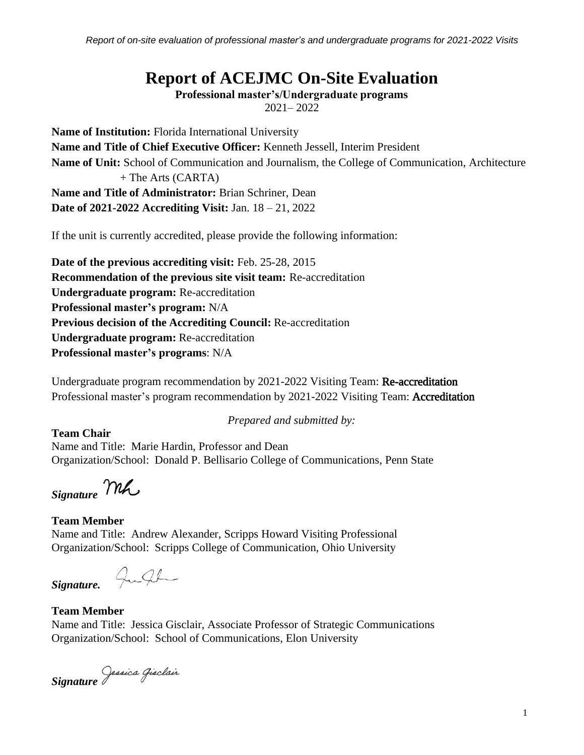*Report of on-site evaluation of professional master's and undergraduate programs for 2021-2022 Visits*

# **Report of ACEJMC On-Site Evaluation**

**Professional master's/Undergraduate programs**

2021– 2022

**Name of Institution:** Florida International University **Name and Title of Chief Executive Officer:** Kenneth Jessell, Interim President **Name of Unit:** School of Communication and Journalism, the College of Communication, Architecture + The Arts (CARTA) **Name and Title of Administrator:** Brian Schriner, Dean **Date of 2021-2022 Accrediting Visit:** Jan. 18 – 21, 2022

If the unit is currently accredited, please provide the following information:

**Date of the previous accrediting visit:** Feb. 25-28, 2015 **Recommendation of the previous site visit team:** Re-accreditation **Undergraduate program:** Re-accreditation **Professional master's program:** N/A **Previous decision of the Accrediting Council:** Re-accreditation **Undergraduate program:** Re-accreditation **Professional master's programs**: N/A

Undergraduate program recommendation by 2021-2022 Visiting Team: Re-accreditation Professional master's program recommendation by 2021-2022 Visiting Team: Accreditation

*Prepared and submitted by:*

**Team Chair** Name and Title: Marie Hardin, Professor and Dean Organization/School: Donald P. Bellisario College of Communications, Penn State

*Signature*

# **Team Member**

Name and Title: Andrew Alexander, Scripps Howard Visiting Professional Organization/School: Scripps College of Communication, Ohio University

Julh *Signature.*

# **Team Member**

Name and Title: Jessica Gisclair, Associate Professor of Strategic Communications Organization/School: School of Communications, Elon University

*Signature*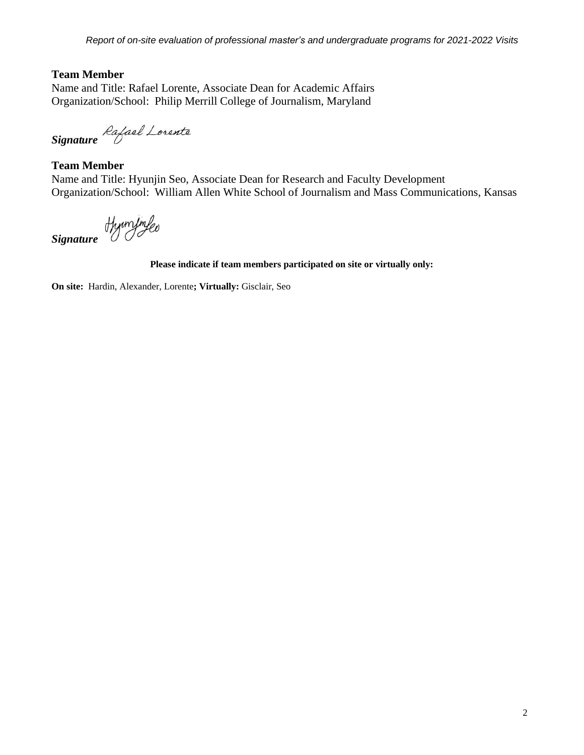## **Team Member**

Name and Title: Rafael Lorente, Associate Dean for Academic Affairs Organization/School: Philip Merrill College of Journalism, Maryland

*Signature*

#### **Team Member**

Name and Title: Hyunjin Seo, Associate Dean for Research and Faculty Development Organization/School: William Allen White School of Journalism and Mass Communications, Kansas

*Signature*

#### **Please indicate if team members participated on site or virtually only:**

**On site:** Hardin, Alexander, Lorente**; Virtually:** Gisclair, Seo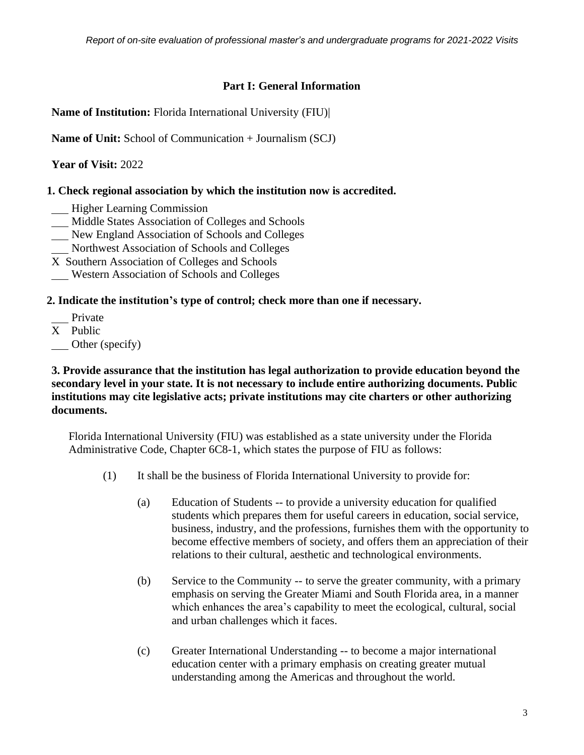## **Part I: General Information**

**Name of Institution:** Florida International University (FIU)|

**Name of Unit:** School of Communication + Journalism (SCJ)

**Year of Visit:** 2022

# **1. Check regional association by which the institution now is accredited.**

- **Higher Learning Commission**
- Middle States Association of Colleges and Schools
- New England Association of Schools and Colleges
- Northwest Association of Schools and Colleges
- X Southern Association of Colleges and Schools
- Western Association of Schools and Colleges

## **2. Indicate the institution's type of control; check more than one if necessary.**

- Private
- X Public
- Other (specify)

### **3. Provide assurance that the institution has legal authorization to provide education beyond the secondary level in your state. It is not necessary to include entire authorizing documents. Public institutions may cite legislative acts; private institutions may cite charters or other authorizing documents.**

Florida International University (FIU) was established as a state university under the Florida Administrative Code, Chapter 6C8-1, which states the purpose of FIU as follows:

- (1) It shall be the business of Florida International University to provide for:
	- (a) Education of Students -- to provide a university education for qualified students which prepares them for useful careers in education, social service, business, industry, and the professions, furnishes them with the opportunity to become effective members of society, and offers them an appreciation of their relations to their cultural, aesthetic and technological environments.
	- (b) Service to the Community -- to serve the greater community, with a primary emphasis on serving the Greater Miami and South Florida area, in a manner which enhances the area's capability to meet the ecological, cultural, social and urban challenges which it faces.
	- (c) Greater International Understanding -- to become a major international education center with a primary emphasis on creating greater mutual understanding among the Americas and throughout the world.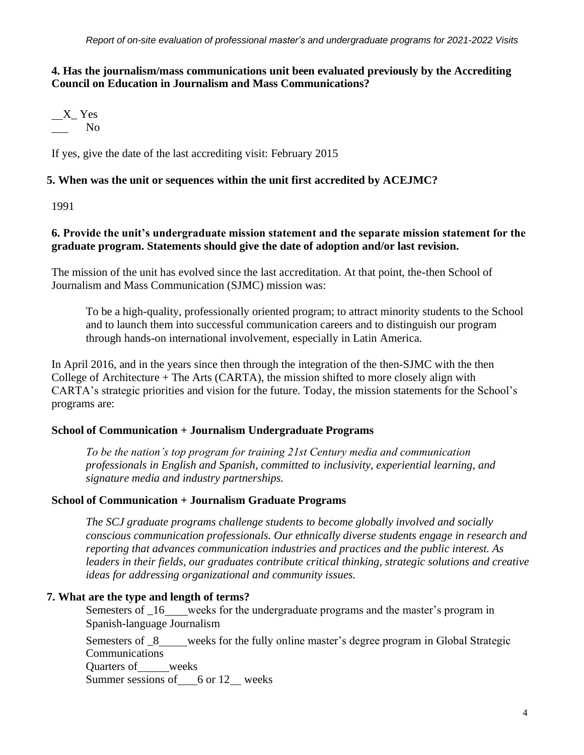# **4. Has the journalism/mass communications unit been evaluated previously by the Accrediting Council on Education in Journalism and Mass Communications?**

$$
\begin{array}{c}\nX_{-} \text{Yes} \\
\hline\n\text{No}\n\end{array}
$$

If yes, give the date of the last accrediting visit: February 2015

### **5. When was the unit or sequences within the unit first accredited by ACEJMC?**

1991

# **6. Provide the unit's undergraduate mission statement and the separate mission statement for the graduate program. Statements should give the date of adoption and/or last revision.**

The mission of the unit has evolved since the last accreditation. At that point, the-then School of Journalism and Mass Communication (SJMC) mission was:

To be a high-quality, professionally oriented program; to attract minority students to the School and to launch them into successful communication careers and to distinguish our program through hands-on international involvement, especially in Latin America.

In April 2016, and in the years since then through the integration of the then-SJMC with the then College of Architecture  $+$  The Arts (CARTA), the mission shifted to more closely align with CARTA's strategic priorities and vision for the future. Today, the mission statements for the School's programs are:

#### **School of Communication + Journalism Undergraduate Programs**

*To be the nation's top program for training 21st Century media and communication professionals in English and Spanish, committed to inclusivity, experiential learning, and signature media and industry partnerships.*

#### **School of Communication + Journalism Graduate Programs**

*The SCJ graduate programs challenge students to become globally involved and socially conscious communication professionals. Our ethnically diverse students engage in research and reporting that advances communication industries and practices and the public interest. As leaders in their fields, our graduates contribute critical thinking, strategic solutions and creative ideas for addressing organizational and community issues.*

#### **7. What are the type and length of terms?**

Semesters of  $\overline{\phantom{a}}$  16 weeks for the undergraduate programs and the master's program in Spanish-language Journalism

Semesters of 8 weeks for the fully online master's degree program in Global Strategic Communications

Quarters of weeks Summer sessions of  $6$  or 12 weeks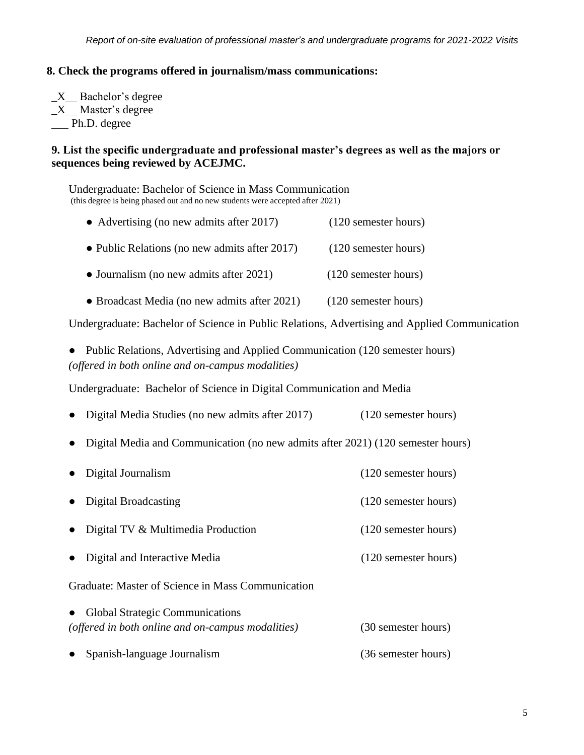#### **8. Check the programs offered in journalism/mass communications:**

 $X$  Bachelor's degree  $X$  Master's degree Ph.D. degree

#### **9. List the specific undergraduate and professional master's degrees as well as the majors or sequences being reviewed by ACEJMC.**

Undergraduate: Bachelor of Science in Mass Communication (this degree is being phased out and no new students were accepted after 2021)

- Advertising (no new admits after 2017) (120 semester hours)
- Public Relations (no new admits after 2017) (120 semester hours)
- Journalism (no new admits after 2021) (120 semester hours)
- Broadcast Media (no new admits after 2021) (120 semester hours)

Undergraduate: Bachelor of Science in Public Relations, Advertising and Applied Communication

Public Relations, Advertising and Applied Communication (120 semester hours) *(offered in both online and on-campus modalities)*

Undergraduate: Bachelor of Science in Digital Communication and Media

- Digital Media Studies (no new admits after 2017) (120 semester hours)
- Digital Media and Communication (no new admits after 2021) (120 semester hours)
- Digital Journalism (120 semester hours) Digital Broadcasting (120 semester hours) Digital TV & Multimedia Production (120 semester hours) Digital and Interactive Media (120 semester hours) Graduate: Master of Science in Mass Communication **Global Strategic Communications** *(offered in both online and on-campus modalities)* (30 semester hours)
- Spanish-language Journalism (36 semester hours)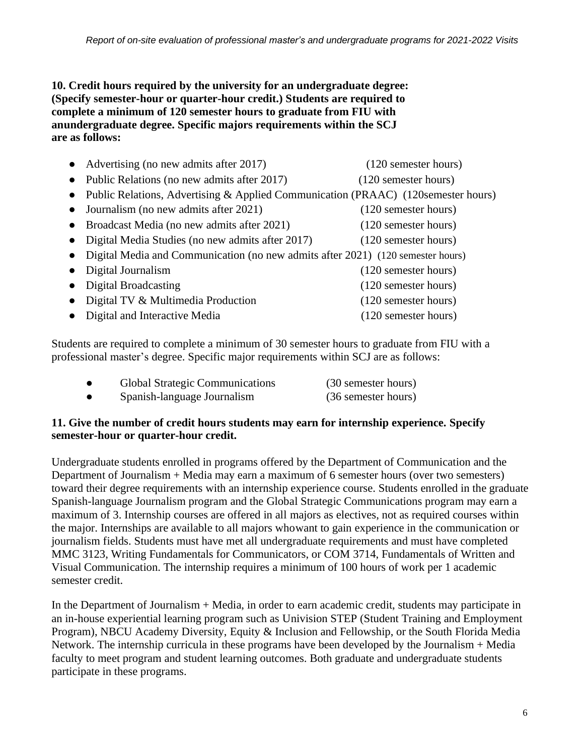**10. Credit hours required by the university for an undergraduate degree: (Specify semester-hour or quarter-hour credit.) Students are required to complete a minimum of 120 semester hours to graduate from FIU with anundergraduate degree. Specific majors requirements within the SCJ are as follows:**

| Advertising (no new admits after 2017)<br>$\bullet$                                             | (120 semester hours) |
|-------------------------------------------------------------------------------------------------|----------------------|
| Public Relations (no new admits after 2017)<br>$\bullet$                                        | (120 semester hours) |
| Public Relations, Advertising & Applied Communication (PRAAC) (120 semester hours)<br>$\bullet$ |                      |
| Journalism (no new admits after 2021)                                                           | (120 semester hours) |
| Broadcast Media (no new admits after 2021)<br>$\bullet$                                         | (120 semester hours) |
| Digital Media Studies (no new admits after 2017)<br>$\bullet$                                   | (120 semester hours) |
| Digital Media and Communication (no new admits after 2021) (120 semester hours)                 |                      |
| Digital Journalism                                                                              | (120 semester hours) |
| Digital Broadcasting                                                                            | (120 semester hours) |
| Digital TV & Multimedia Production                                                              | (120 semester hours) |
| Digital and Interactive Media                                                                   | (120 semester hours) |

Students are required to complete a minimum of 30 semester hours to graduate from FIU with a professional master's degree. Specific major requirements within SCJ are as follows:

| <b>Global Strategic Communications</b> | (30 semester hours) |
|----------------------------------------|---------------------|
| Spanish-language Journalism            | (36 semester hours) |

# **11. Give the number of credit hours students may earn for internship experience. Specify semester-hour or quarter-hour credit.**

Undergraduate students enrolled in programs offered by the Department of Communication and the Department of Journalism + Media may earn a maximum of 6 semester hours (over two semesters) toward their degree requirements with an internship experience course. Students enrolled in the graduate Spanish-language Journalism program and the Global Strategic Communications program may earn a maximum of 3. Internship courses are offered in all majors as electives, not as required courses within the major. Internships are available to all majors whowant to gain experience in the communication or journalism fields. Students must have met all undergraduate requirements and must have completed MMC 3123, Writing Fundamentals for Communicators, or COM 3714, Fundamentals of Written and Visual Communication. The internship requires a minimum of 100 hours of work per 1 academic semester credit.

In the Department of Journalism + Media, in order to earn academic credit, students may participate in an in-house experiential learning program such as Univision STEP (Student Training and Employment Program), NBCU Academy Diversity, Equity & Inclusion and Fellowship, or the South Florida Media Network. The internship curricula in these programs have been developed by the Journalism + Media faculty to meet program and student learning outcomes. Both graduate and undergraduate students participate in these programs.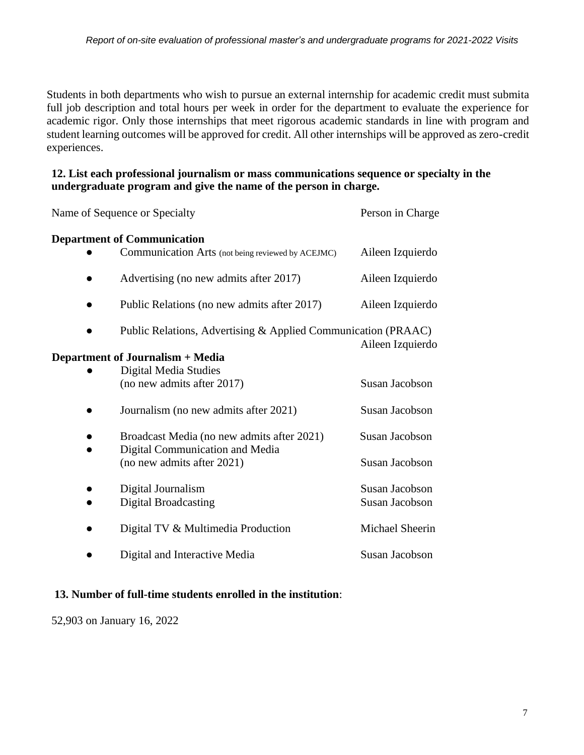Students in both departments who wish to pursue an external internship for academic credit must submita full job description and total hours per week in order for the department to evaluate the experience for academic rigor. Only those internships that meet rigorous academic standards in line with program and student learning outcomes will be approved for credit. All other internships will be approved as zero-credit experiences.

## **12. List each professional journalism or mass communications sequence or specialty in the undergraduate program and give the name of the person in charge.**

| Name of Sequence or Specialty                                 | Person in Charge |
|---------------------------------------------------------------|------------------|
| <b>Department of Communication</b>                            |                  |
| Communication Arts (not being reviewed by ACEJMC)             | Aileen Izquierdo |
| Advertising (no new admits after 2017)                        | Aileen Izquierdo |
| Public Relations (no new admits after 2017)                   | Aileen Izquierdo |
| Public Relations, Advertising & Applied Communication (PRAAC) | Aileen Izquierdo |
| Department of Journalism + Media                              |                  |
| <b>Digital Media Studies</b>                                  |                  |
| (no new admits after 2017)                                    | Susan Jacobson   |
| Journalism (no new admits after 2021)                         | Susan Jacobson   |
| Broadcast Media (no new admits after 2021)                    | Susan Jacobson   |
| Digital Communication and Media<br>(no new admits after 2021) | Susan Jacobson   |
| Digital Journalism                                            | Susan Jacobson   |
| <b>Digital Broadcasting</b>                                   | Susan Jacobson   |
| Digital TV & Multimedia Production                            | Michael Sheerin  |
| Digital and Interactive Media                                 | Susan Jacobson   |

# **13. Number of full-time students enrolled in the institution**:

52,903 on January 16, 2022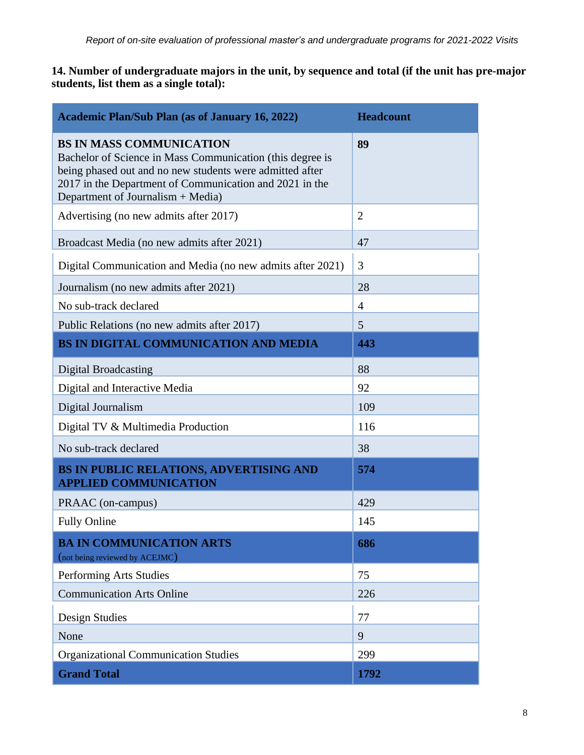**14. Number of undergraduate majors in the unit, by sequence and total (if the unit has pre-major students, list them as a single total):**

| <b>Academic Plan/Sub Plan (as of January 16, 2022)</b>                                                                                                                                                                                                   | <b>Headcount</b> |
|----------------------------------------------------------------------------------------------------------------------------------------------------------------------------------------------------------------------------------------------------------|------------------|
| <b>BS IN MASS COMMUNICATION</b><br>Bachelor of Science in Mass Communication (this degree is<br>being phased out and no new students were admitted after<br>2017 in the Department of Communication and 2021 in the<br>Department of Journalism + Media) | 89               |
| Advertising (no new admits after 2017)                                                                                                                                                                                                                   | $\overline{2}$   |
| Broadcast Media (no new admits after 2021)                                                                                                                                                                                                               | 47               |
| Digital Communication and Media (no new admits after 2021)                                                                                                                                                                                               | 3                |
| Journalism (no new admits after 2021)                                                                                                                                                                                                                    | 28               |
| No sub-track declared                                                                                                                                                                                                                                    | $\overline{4}$   |
| Public Relations (no new admits after 2017)                                                                                                                                                                                                              | 5                |
| BS IN DIGITAL COMMUNICATION AND MEDIA                                                                                                                                                                                                                    | 443              |
| <b>Digital Broadcasting</b>                                                                                                                                                                                                                              | 88               |
| Digital and Interactive Media                                                                                                                                                                                                                            | 92               |
| Digital Journalism                                                                                                                                                                                                                                       | 109              |
| Digital TV & Multimedia Production                                                                                                                                                                                                                       | 116              |
| No sub-track declared                                                                                                                                                                                                                                    | 38               |
| BS IN PUBLIC RELATIONS, ADVERTISING AND<br><b>APPLIED COMMUNICATION</b>                                                                                                                                                                                  | 574              |
| PRAAC (on-campus)                                                                                                                                                                                                                                        | 429              |
| <b>Fully Online</b>                                                                                                                                                                                                                                      | 145              |
| <b>BA IN COMMUNICATION ARTS</b><br>(not being reviewed by ACEJMC)                                                                                                                                                                                        | 686              |
| Performing Arts Studies                                                                                                                                                                                                                                  | 75               |
| <b>Communication Arts Online</b>                                                                                                                                                                                                                         | 226              |
| Design Studies                                                                                                                                                                                                                                           | 77               |
| None                                                                                                                                                                                                                                                     | 9                |
| <b>Organizational Communication Studies</b>                                                                                                                                                                                                              | 299              |
| <b>Grand Total</b>                                                                                                                                                                                                                                       | 1792             |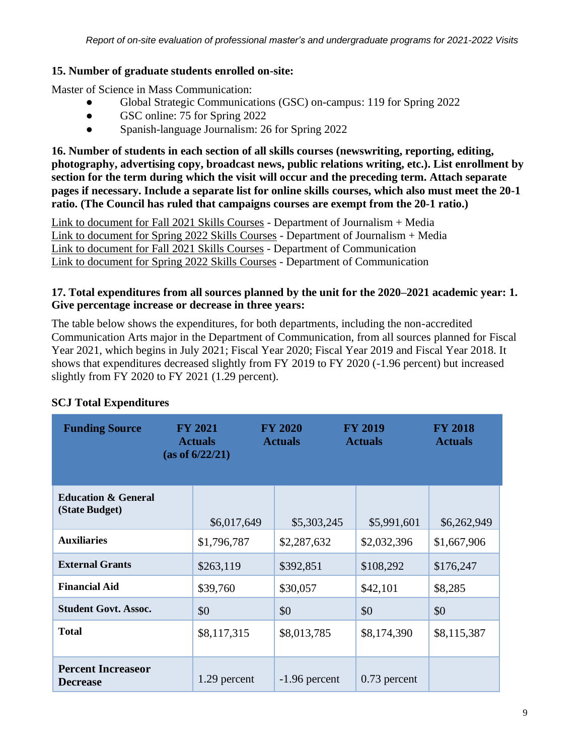# **15. Number of graduate students enrolled on-site:**

Master of Science in Mass Communication:

- Global Strategic Communications (GSC) on-campus: 119 for Spring 2022
- GSC online: 75 for Spring 2022
- Spanish-language Journalism: 26 for Spring 2022

**16. Number of students in each section of all skills courses (newswriting, reporting, editing, photography, advertising copy, broadcast news, public relations writing, etc.). List enrollment by section for the term during which the visit will occur and the preceding term. Attach separate pages if necessary. Include a separate list for online skills courses, which also must meet the 20-1 ratio. (The Council has ruled that campaigns courses are exempt from the 20-1 ratio.)**

Link to document for Fall 2021 Skills Courses - Department of Journalism + Media Link to document for Spring 2022 Skills Courses - Department of Journalism + Media Link to document for Fall 2021 Skills Courses - Department of Communication Link to document for Spring 2022 Skills Courses - Department of Communication

# **17. Total expenditures from all sources planned by the unit for the 2020–2021 academic year: 1. Give percentage increase or decrease in three years:**

The table below shows the expenditures, for both departments, including the non-accredited Communication Arts major in the Department of Communication, from all sources planned for Fiscal Year 2021, which begins in July 2021; Fiscal Year 2020; Fiscal Year 2019 and Fiscal Year 2018. It shows that expenditures decreased slightly from FY 2019 to FY 2020 (-1.96 percent) but increased slightly from FY 2020 to FY 2021 (1.29 percent).

| <b>Funding Source</b>                            | <b>FY 2021</b><br><b>Actuals</b><br>(as of 6/22/21) | <b>FY 2020</b><br><b>FY 2019</b><br><b>Actuals</b><br><b>Actuals</b> |                | <b>FY 2018</b><br><b>Actuals</b> |
|--------------------------------------------------|-----------------------------------------------------|----------------------------------------------------------------------|----------------|----------------------------------|
| <b>Education &amp; General</b><br>(State Budget) | \$6,017,649                                         | \$5,303,245                                                          | \$5,991,601    | \$6,262,949                      |
| <b>Auxiliaries</b>                               | \$1,796,787                                         | \$2,287,632                                                          | \$2,032,396    | \$1,667,906                      |
| <b>External Grants</b>                           | \$263,119                                           | \$392,851                                                            | \$108,292      | \$176,247                        |
| <b>Financial Aid</b>                             | \$39,760                                            | \$30,057                                                             | \$42,101       | \$8,285                          |
| <b>Student Govt. Assoc.</b>                      | \$0                                                 | \$0                                                                  | \$0            | \$0                              |
| <b>Total</b>                                     | \$8,117,315                                         | \$8,013,785                                                          | \$8,174,390    | \$8,115,387                      |
| <b>Percent Increaseor</b><br><b>Decrease</b>     | 1.29 percent                                        | $-1.96$ percent                                                      | $0.73$ percent |                                  |

# **SCJ Total Expenditures**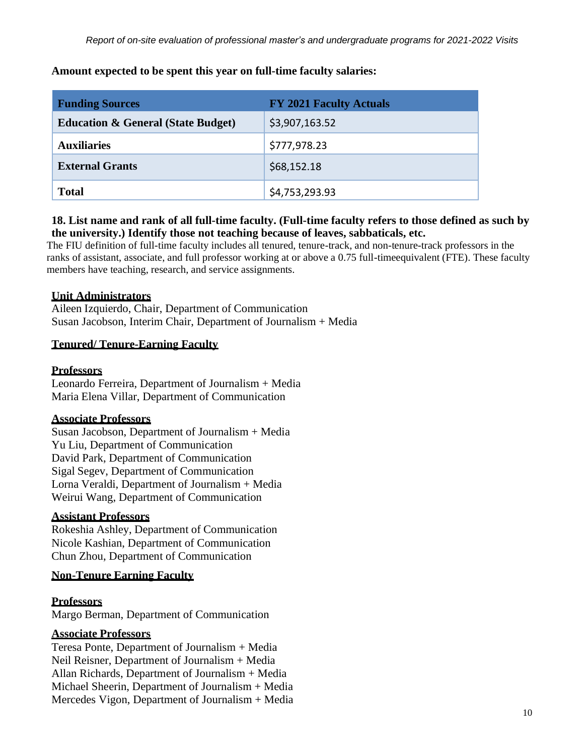|  | Amount expected to be spent this year on fun-time faculty salaries. |  |
|--|---------------------------------------------------------------------|--|
|  |                                                                     |  |
|  |                                                                     |  |

**Amount expected to be spent this year on full-time faculty salaries:**

| <b>Funding Sources</b>                        | <b>FY 2021 Faculty Actuals</b> |
|-----------------------------------------------|--------------------------------|
| <b>Education &amp; General (State Budget)</b> | \$3,907,163.52                 |
| <b>Auxiliaries</b>                            | \$777,978.23                   |
| <b>External Grants</b>                        | \$68,152.18                    |
| <b>Total</b>                                  | \$4,753,293.93                 |

## **18. List name and rank of all full-time faculty. (Full-time faculty refers to those defined as such by the university.) Identify those not teaching because of leaves, sabbaticals, etc.**

The FIU definition of full-time faculty includes all tenured, tenure-track, and non-tenure-track professors in the ranks of assistant, associate, and full professor working at or above a 0.75 full-timeequivalent (FTE). These faculty members have teaching, research, and service assignments.

# **Unit Administrators**

Aileen Izquierdo, Chair, Department of Communication Susan Jacobson, Interim Chair, Department of Journalism + Media

## **Tenured/ Tenure-Earning Faculty**

#### **Professors**

Leonardo Ferreira, Department of Journalism + Media Maria Elena Villar, Department of Communication

#### **Associate Professors**

Susan Jacobson, Department of Journalism + Media Yu Liu, Department of Communication David Park, Department of Communication Sigal Segev, Department of Communication Lorna Veraldi, Department of Journalism + Media Weirui Wang, Department of Communication

#### **Assistant Professors**

Rokeshia Ashley, Department of Communication Nicole Kashian, Department of Communication Chun Zhou, Department of Communication

# **Non-Tenure Earning Faculty**

# **Professors**

Margo Berman, Department of Communication

# **Associate Professors**

Teresa Ponte, Department of Journalism + Media Neil Reisner, Department of Journalism + Media Allan Richards, Department of Journalism + Media Michael Sheerin, Department of Journalism + Media Mercedes Vigon, Department of Journalism + Media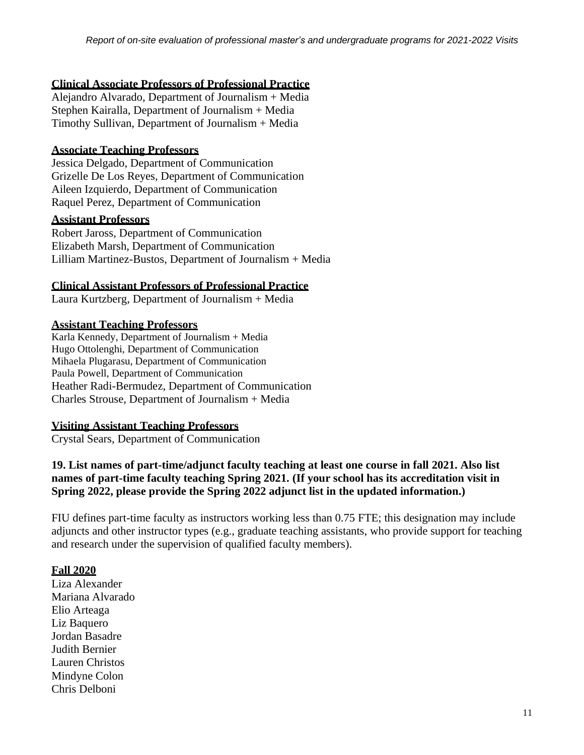#### **Clinical Associate Professors of Professional Practice**

Alejandro Alvarado, Department of Journalism + Media Stephen Kairalla, Department of Journalism + Media Timothy Sullivan, Department of Journalism + Media

#### **Associate Teaching Professors**

Jessica Delgado, Department of Communication Grizelle De Los Reyes, Department of Communication Aileen Izquierdo, Department of Communication Raquel Perez, Department of Communication

#### **Assistant Professors**

Robert Jaross, Department of Communication Elizabeth Marsh, Department of Communication Lilliam Martinez-Bustos, Department of Journalism + Media

#### **Clinical Assistant Professors of Professional Practice**

Laura Kurtzberg, Department of Journalism + Media

#### **Assistant Teaching Professors**

Karla Kennedy, Department of Journalism + Media Hugo Ottolenghi, Department of Communication Mihaela Plugarasu, Department of Communication Paula Powell, Department of Communication Heather Radi-Bermudez, Department of Communication Charles Strouse, Department of Journalism + Media

#### **Visiting Assistant Teaching Professors**

Crystal Sears, Department of Communication

# **19. List names of part-time/adjunct faculty teaching at least one course in fall 2021. Also list names of part-time faculty teaching Spring 2021. (If your school has its accreditation visit in Spring 2022, please provide the Spring 2022 adjunct list in the updated information.)**

FIU defines part-time faculty as instructors working less than 0.75 FTE; this designation may include adjuncts and other instructor types (e.g., graduate teaching assistants, who provide support for teaching and research under the supervision of qualified faculty members).

#### **Fall 2020**

Liza Alexander Mariana Alvarado Elio Arteaga Liz Baquero Jordan Basadre Judith Bernier Lauren Christos Mindyne Colon Chris Delboni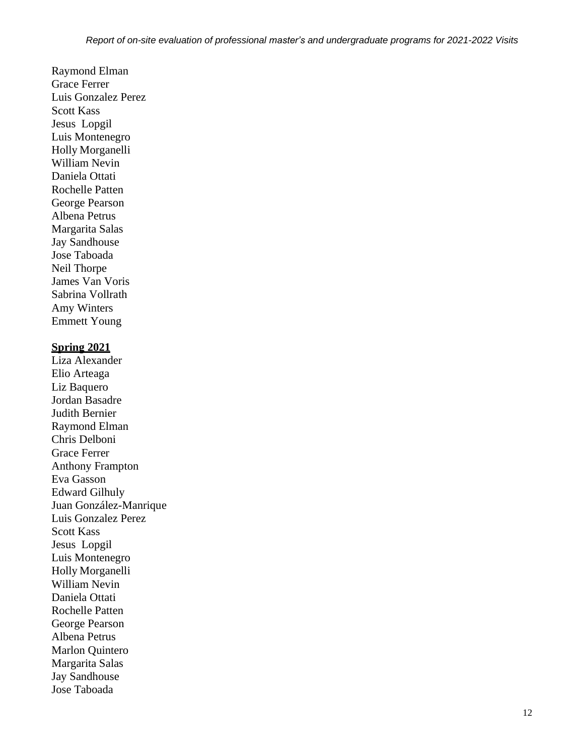Raymond Elman Grace Ferrer Luis Gonzalez Perez Scott Kass Jesus Lopgil Luis Montenegro Holly Morganelli William Nevin Daniela Ottati Rochelle Patten George Pearson Albena Petrus Margarita Salas Jay Sandhouse Jose Taboada Neil Thorpe James Van Voris Sabrina Vollrath Amy Winters Emmett Young

#### **Spring 2021**

Liza Alexander Elio Arteaga Liz Baquero Jordan Basadre Judith Bernier Raymond Elman Chris Delboni Grace Ferrer Anthony Frampton Eva Gasson Edward Gilhuly Juan González-Manrique Luis Gonzalez Perez Scott Kass Jesus Lopgil Luis Montenegro Holly Morganelli William Nevin Daniela Ottati Rochelle Patten George Pearson Albena Petrus Marlon Quintero Margarita Salas Jay Sandhouse Jose Taboada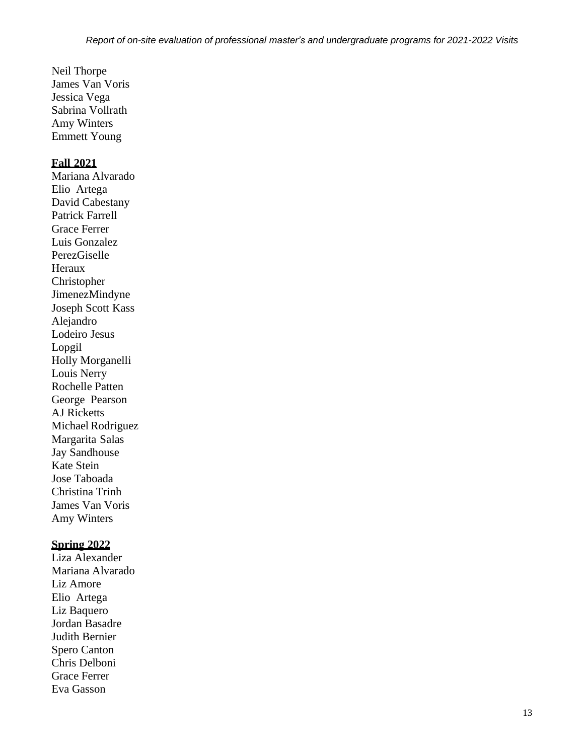Neil Thorpe James Van Voris Jessica Vega Sabrina Vollrath Amy Winters Emmett Young

#### **Fall 2021**

Mariana Alvarado Elio Artega David Cabestany Patrick Farrell Grace Ferrer Luis Gonzalez PerezGiselle Heraux Christopher JimenezMindyne Joseph Scott Kass Alejandro Lodeiro Jesus Lopgil Holly Morganelli Louis Nerry Rochelle Patten George Pearson AJ Ricketts Michael Rodriguez Margarita Salas Jay Sandhouse Kate Stein Jose Taboada Christina Trinh James Van Voris Amy Winters

#### **Spring 2022**

Liza Alexander Mariana Alvarado Liz Amore Elio Artega Liz Baquero Jordan Basadre Judith Bernier Spero Canton Chris Delboni Grace Ferrer Eva Gasson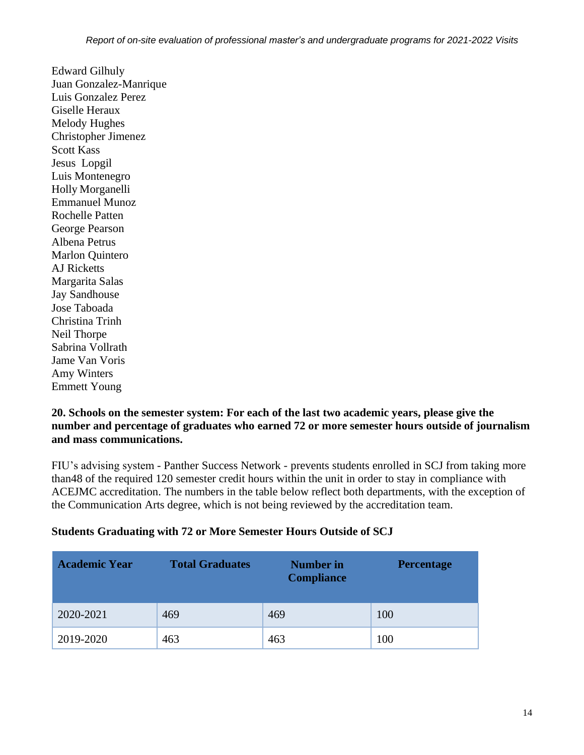Edward Gilhuly Juan Gonzalez-Manrique Luis Gonzalez Perez Giselle Heraux Melody Hughes Christopher Jimenez Scott Kass Jesus Lopgil Luis Montenegro Holly Morganelli Emmanuel Munoz Rochelle Patten George Pearson Albena Petrus Marlon Quintero AJ Ricketts Margarita Salas Jay Sandhouse Jose Taboada Christina Trinh Neil Thorpe Sabrina Vollrath Jame Van Voris Amy Winters Emmett Young

### **20. Schools on the semester system: For each of the last two academic years, please give the number and percentage of graduates who earned 72 or more semester hours outside of journalism and mass communications.**

FIU's advising system - Panther Success Network - prevents students enrolled in SCJ from taking more than48 of the required 120 semester credit hours within the unit in order to stay in compliance with ACEJMC accreditation. The numbers in the table below reflect both departments, with the exception of the Communication Arts degree, which is not being reviewed by the accreditation team.

# **Students Graduating with 72 or More Semester Hours Outside of SCJ**

| <b>Academic Year</b> | <b>Total Graduates</b> | <b>Number in</b><br><b>Compliance</b> | <b>Percentage</b> |
|----------------------|------------------------|---------------------------------------|-------------------|
| 2020-2021            | 469                    | 469                                   | 100               |
| 2019-2020            | 463                    | 463                                   | 100               |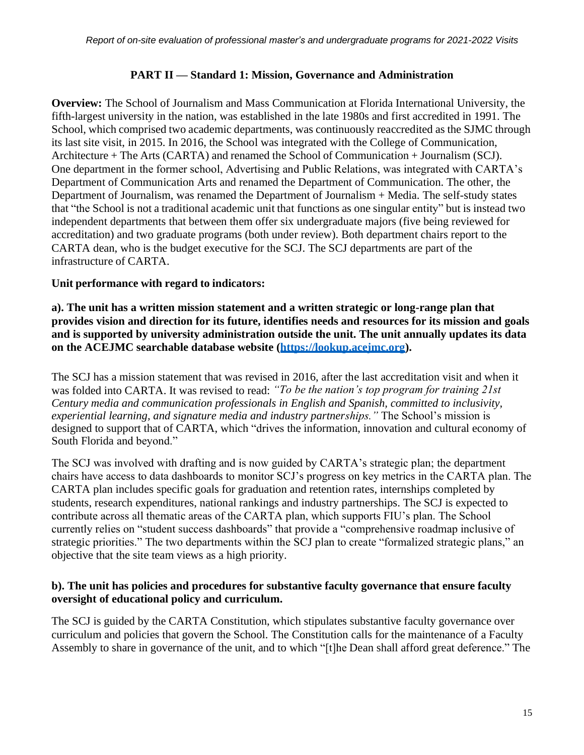### **PART II — Standard 1: Mission, Governance and Administration**

**Overview:** The School of Journalism and Mass Communication at Florida International University, the fifth-largest university in the nation, was established in the late 1980s and first accredited in 1991. The School, which comprised two academic departments, was continuously reaccredited as the SJMC through its last site visit, in 2015. In 2016, the School was integrated with the College of Communication, Architecture + The Arts (CARTA) and renamed the School of Communication + Journalism (SCJ). One department in the former school, Advertising and Public Relations, was integrated with CARTA's Department of Communication Arts and renamed the Department of Communication. The other, the Department of Journalism, was renamed the Department of Journalism + Media. The self-study states that "the School is not a traditional academic unit that functions as one singular entity" but is instead two independent departments that between them offer six undergraduate majors (five being reviewed for accreditation) and two graduate programs (both under review). Both department chairs report to the CARTA dean, who is the budget executive for the SCJ. The SCJ departments are part of the infrastructure of CARTA.

# **Unit performance with regard to indicators:**

**a). The unit has a written mission statement and a written strategic or long-range plan that provides vision and direction for its future, identifies needs and resources for its mission and goals and is supported by university administration outside the unit. The unit annually updates its data on the ACEJMC searchable database website (https://lookup.acejmc.org).**

The SCJ has a mission statement that was revised in 2016, after the last accreditation visit and when it was folded into CARTA. It was revised to read: *"To be the nation's top program for training 21st Century media and communication professionals in English and Spanish, committed to inclusivity, experiential learning, and signature media and industry partnerships."* The School's mission is designed to support that of CARTA, which "drives the information, innovation and cultural economy of South Florida and beyond."

The SCJ was involved with drafting and is now guided by CARTA's strategic plan; the department chairs have access to data dashboards to monitor SCJ's progress on key metrics in the CARTA plan. The CARTA plan includes specific goals for graduation and retention rates, internships completed by students, research expenditures, national rankings and industry partnerships. The SCJ is expected to contribute across all thematic areas of the CARTA plan, which supports FIU's plan. The School currently relies on "student success dashboards" that provide a "comprehensive roadmap inclusive of strategic priorities." The two departments within the SCJ plan to create "formalized strategic plans," an objective that the site team views as a high priority.

## **b). The unit has policies and procedures for substantive faculty governance that ensure faculty oversight of educational policy and curriculum.**

The SCJ is guided by the CARTA Constitution, which stipulates substantive faculty governance over curriculum and policies that govern the School. The Constitution calls for the maintenance of a Faculty Assembly to share in governance of the unit, and to which "[t]he Dean shall afford great deference." The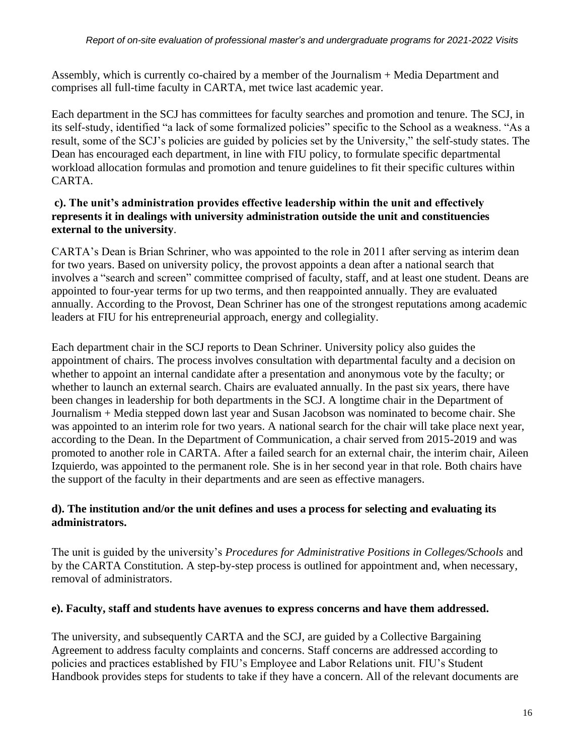Assembly, which is currently co-chaired by a member of the Journalism + Media Department and comprises all full-time faculty in CARTA, met twice last academic year.

Each department in the SCJ has committees for faculty searches and promotion and tenure. The SCJ, in its self-study, identified "a lack of some formalized policies" specific to the School as a weakness. "As a result, some of the SCJ's policies are guided by policies set by the University," the self-study states. The Dean has encouraged each department, in line with FIU policy, to formulate specific departmental workload allocation formulas and promotion and tenure guidelines to fit their specific cultures within CARTA.

# **c). The unit's administration provides effective leadership within the unit and effectively represents it in dealings with university administration outside the unit and constituencies external to the university**.

CARTA's Dean is Brian Schriner, who was appointed to the role in 2011 after serving as interim dean for two years. Based on university policy, the provost appoints a dean after a national search that involves a "search and screen" committee comprised of faculty, staff, and at least one student. Deans are appointed to four-year terms for up two terms, and then reappointed annually. They are evaluated annually. According to the Provost, Dean Schriner has one of the strongest reputations among academic leaders at FIU for his entrepreneurial approach, energy and collegiality.

Each department chair in the SCJ reports to Dean Schriner. University policy also guides the appointment of chairs. The process involves consultation with departmental faculty and a decision on whether to appoint an internal candidate after a presentation and anonymous vote by the faculty; or whether to launch an external search. Chairs are evaluated annually. In the past six years, there have been changes in leadership for both departments in the SCJ. A longtime chair in the Department of Journalism + Media stepped down last year and Susan Jacobson was nominated to become chair. She was appointed to an interim role for two years. A national search for the chair will take place next year, according to the Dean. In the Department of Communication, a chair served from 2015-2019 and was promoted to another role in CARTA. After a failed search for an external chair, the interim chair, Aileen Izquierdo, was appointed to the permanent role. She is in her second year in that role. Both chairs have the support of the faculty in their departments and are seen as effective managers.

# **d). The institution and/or the unit defines and uses a process for selecting and evaluating its administrators.**

The unit is guided by the university's *Procedures for Administrative Positions in Colleges/Schools* and by the CARTA Constitution. A step-by-step process is outlined for appointment and, when necessary, removal of administrators.

# **e). Faculty, staff and students have avenues to express concerns and have them addressed.**

The university, and subsequently CARTA and the SCJ, are guided by a Collective Bargaining Agreement to address faculty complaints and concerns. Staff concerns are addressed according to policies and practices established by FIU's Employee and Labor Relations unit. FIU's Student Handbook provides steps for students to take if they have a concern. All of the relevant documents are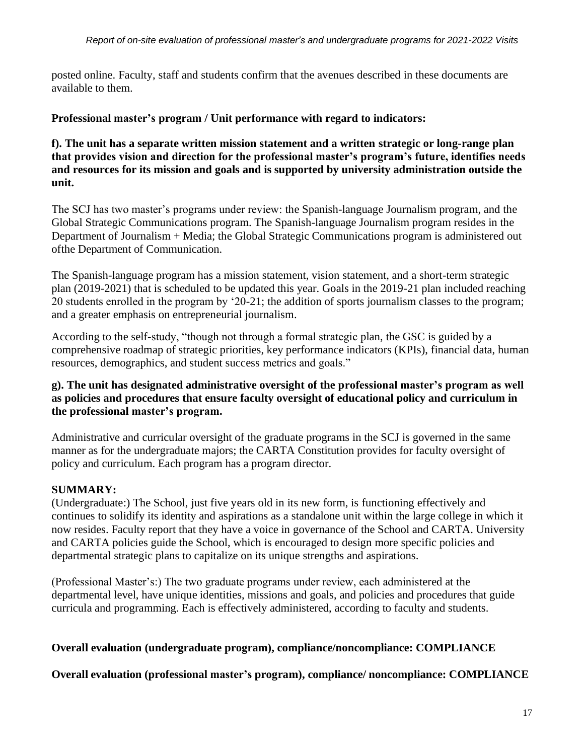posted online. Faculty, staff and students confirm that the avenues described in these documents are available to them.

**Professional master's program / Unit performance with regard to indicators:**

**f). The unit has a separate written mission statement and a written strategic or long-range plan that provides vision and direction for the professional master's program's future, identifies needs and resources for its mission and goals and is supported by university administration outside the unit.**

The SCJ has two master's programs under review: the Spanish-language Journalism program, and the Global Strategic Communications program. The Spanish-language Journalism program resides in the Department of Journalism + Media; the Global Strategic Communications program is administered out ofthe Department of Communication.

The Spanish-language program has a mission statement, vision statement, and a short-term strategic plan (2019-2021) that is scheduled to be updated this year. Goals in the 2019-21 plan included reaching 20 students enrolled in the program by '20-21; the addition of sports journalism classes to the program; and a greater emphasis on entrepreneurial journalism.

According to the self-study, "though not through a formal strategic plan, the GSC is guided by a comprehensive roadmap of strategic priorities, key performance indicators (KPIs), financial data, human resources, demographics, and student success metrics and goals."

# **g). The unit has designated administrative oversight of the professional master's program as well as policies and procedures that ensure faculty oversight of educational policy and curriculum in the professional master's program.**

Administrative and curricular oversight of the graduate programs in the SCJ is governed in the same manner as for the undergraduate majors; the CARTA Constitution provides for faculty oversight of policy and curriculum. Each program has a program director.

# **SUMMARY:**

(Undergraduate:) The School, just five years old in its new form, is functioning effectively and continues to solidify its identity and aspirations as a standalone unit within the large college in which it now resides. Faculty report that they have a voice in governance of the School and CARTA. University and CARTA policies guide the School, which is encouraged to design more specific policies and departmental strategic plans to capitalize on its unique strengths and aspirations.

(Professional Master's:) The two graduate programs under review, each administered at the departmental level, have unique identities, missions and goals, and policies and procedures that guide curricula and programming. Each is effectively administered, according to faculty and students.

# **Overall evaluation (undergraduate program), compliance/noncompliance: COMPLIANCE**

**Overall evaluation (professional master's program), compliance/ noncompliance: COMPLIANCE**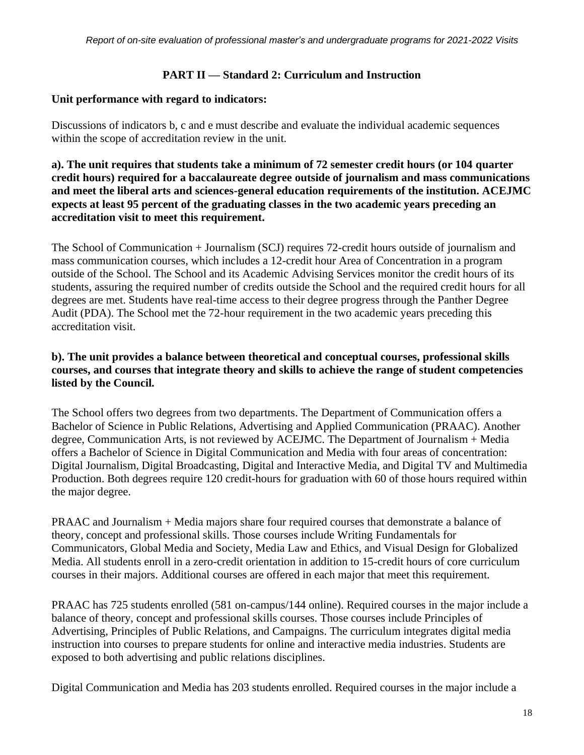### **PART II — Standard 2: Curriculum and Instruction**

### **Unit performance with regard to indicators:**

Discussions of indicators b, c and e must describe and evaluate the individual academic sequences within the scope of accreditation review in the unit.

**a). The unit requires that students take a minimum of 72 semester credit hours (or 104 quarter credit hours) required for a baccalaureate degree outside of journalism and mass communications and meet the liberal arts and sciences-general education requirements of the institution. ACEJMC expects at least 95 percent of the graduating classes in the two academic years preceding an accreditation visit to meet this requirement.**

The School of Communication + Journalism (SCJ) requires 72-credit hours outside of journalism and mass communication courses, which includes a 12-credit hour Area of Concentration in a program outside of the School. The School and its Academic Advising Services monitor the credit hours of its students, assuring the required number of credits outside the School and the required credit hours for all degrees are met. Students have real-time access to their degree progress through the Panther Degree Audit (PDA). The School met the 72-hour requirement in the two academic years preceding this accreditation visit.

# **b). The unit provides a balance between theoretical and conceptual courses, professional skills courses, and courses that integrate theory and skills to achieve the range of student competencies listed by the Council.**

The School offers two degrees from two departments. The Department of Communication offers a Bachelor of Science in Public Relations, Advertising and Applied Communication (PRAAC). Another degree, Communication Arts, is not reviewed by ACEJMC. The Department of Journalism + Media offers a Bachelor of Science in Digital Communication and Media with four areas of concentration: Digital Journalism, Digital Broadcasting, Digital and Interactive Media, and Digital TV and Multimedia Production. Both degrees require 120 credit-hours for graduation with 60 of those hours required within the major degree.

PRAAC and Journalism + Media majors share four required courses that demonstrate a balance of theory, concept and professional skills. Those courses include Writing Fundamentals for Communicators, Global Media and Society, Media Law and Ethics, and Visual Design for Globalized Media. All students enroll in a zero-credit orientation in addition to 15-credit hours of core curriculum courses in their majors. Additional courses are offered in each major that meet this requirement.

PRAAC has 725 students enrolled (581 on-campus/144 online). Required courses in the major include a balance of theory, concept and professional skills courses. Those courses include Principles of Advertising, Principles of Public Relations, and Campaigns. The curriculum integrates digital media instruction into courses to prepare students for online and interactive media industries. Students are exposed to both advertising and public relations disciplines.

Digital Communication and Media has 203 students enrolled. Required courses in the major include a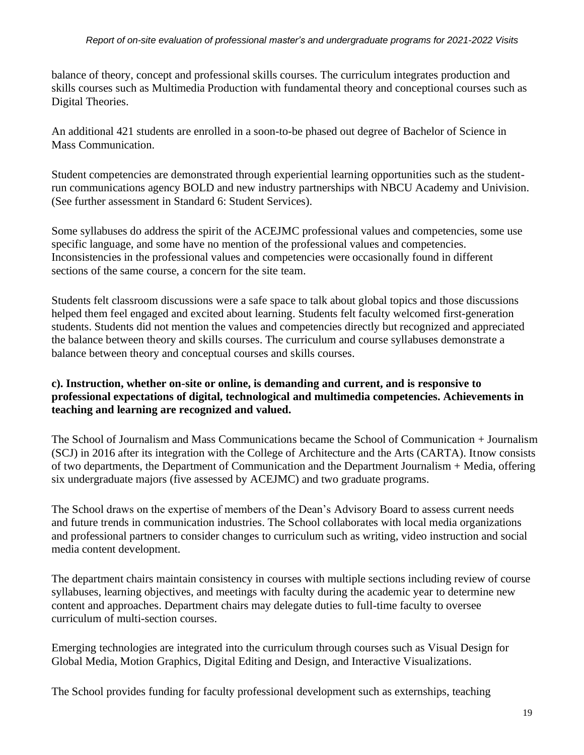balance of theory, concept and professional skills courses. The curriculum integrates production and skills courses such as Multimedia Production with fundamental theory and conceptional courses such as Digital Theories.

An additional 421 students are enrolled in a soon-to-be phased out degree of Bachelor of Science in Mass Communication.

Student competencies are demonstrated through experiential learning opportunities such as the studentrun communications agency BOLD and new industry partnerships with NBCU Academy and Univision. (See further assessment in Standard 6: Student Services).

Some syllabuses do address the spirit of the ACEJMC professional values and competencies, some use specific language, and some have no mention of the professional values and competencies. Inconsistencies in the professional values and competencies were occasionally found in different sections of the same course, a concern for the site team.

Students felt classroom discussions were a safe space to talk about global topics and those discussions helped them feel engaged and excited about learning. Students felt faculty welcomed first-generation students. Students did not mention the values and competencies directly but recognized and appreciated the balance between theory and skills courses. The curriculum and course syllabuses demonstrate a balance between theory and conceptual courses and skills courses.

# **c). Instruction, whether on-site or online, is demanding and current, and is responsive to professional expectations of digital, technological and multimedia competencies. Achievements in teaching and learning are recognized and valued.**

The School of Journalism and Mass Communications became the School of Communication + Journalism (SCJ) in 2016 after its integration with the College of Architecture and the Arts (CARTA). It now consists of two departments, the Department of Communication and the Department Journalism + Media, offering six undergraduate majors (five assessed by ACEJMC) and two graduate programs.

The School draws on the expertise of members of the Dean's Advisory Board to assess current needs and future trends in communication industries. The School collaborates with local media organizations and professional partners to consider changes to curriculum such as writing, video instruction and social media content development.

The department chairs maintain consistency in courses with multiple sections including review of course syllabuses, learning objectives, and meetings with faculty during the academic year to determine new content and approaches. Department chairs may delegate duties to full-time faculty to oversee curriculum of multi-section courses.

Emerging technologies are integrated into the curriculum through courses such as Visual Design for Global Media, Motion Graphics, Digital Editing and Design, and Interactive Visualizations.

The School provides funding for faculty professional development such as externships, teaching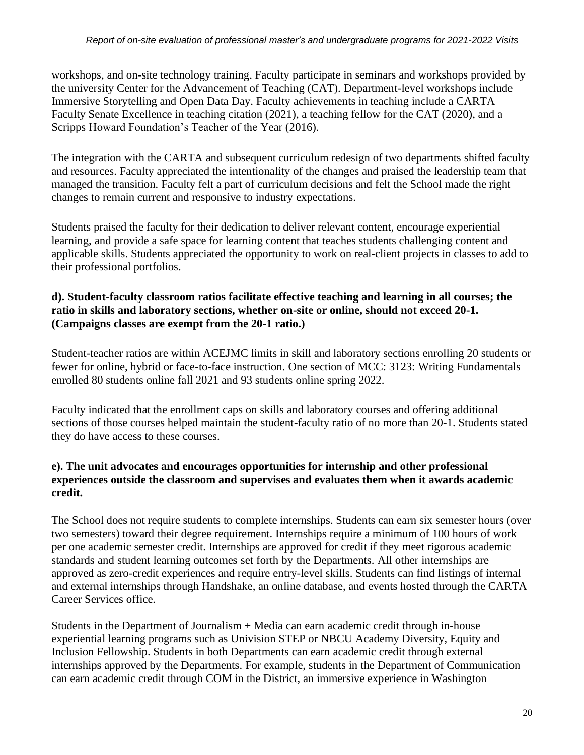workshops, and on-site technology training. Faculty participate in seminars and workshops provided by the university Center for the Advancement of Teaching (CAT). Department-level workshops include Immersive Storytelling and Open Data Day. Faculty achievements in teaching include a CARTA Faculty Senate Excellence in teaching citation (2021), a teaching fellow for the CAT (2020), and a Scripps Howard Foundation's Teacher of the Year (2016).

The integration with the CARTA and subsequent curriculum redesign of two departments shifted faculty and resources. Faculty appreciated the intentionality of the changes and praised the leadership team that managed the transition. Faculty felt a part of curriculum decisions and felt the School made the right changes to remain current and responsive to industry expectations.

Students praised the faculty for their dedication to deliver relevant content, encourage experiential learning, and provide a safe space for learning content that teaches students challenging content and applicable skills. Students appreciated the opportunity to work on real-client projects in classes to add to their professional portfolios.

# **d). Student-faculty classroom ratios facilitate effective teaching and learning in all courses; the ratio in skills and laboratory sections, whether on-site or online, should not exceed 20-1. (Campaigns classes are exempt from the 20-1 ratio.)**

Student-teacher ratios are within ACEJMC limits in skill and laboratory sections enrolling 20 students or fewer for online, hybrid or face-to-face instruction. One section of MCC: 3123: Writing Fundamentals enrolled 80 students online fall 2021 and 93 students online spring 2022.

Faculty indicated that the enrollment caps on skills and laboratory courses and offering additional sections of those courses helped maintain the student-faculty ratio of no more than 20-1. Students stated they do have access to these courses.

# **e). The unit advocates and encourages opportunities for internship and other professional experiences outside the classroom and supervises and evaluates them when it awards academic credit.**

The School does not require students to complete internships. Students can earn six semester hours (over two semesters) toward their degree requirement. Internships require a minimum of 100 hours of work per one academic semester credit. Internships are approved for credit if they meet rigorous academic standards and student learning outcomes set forth by the Departments. All other internships are approved as zero-credit experiences and require entry-level skills. Students can find listings of internal and external internships through Handshake, an online database, and events hosted through the CARTA Career Services office.

Students in the Department of Journalism + Media can earn academic credit through in-house experiential learning programs such as Univision STEP or NBCU Academy Diversity, Equity and Inclusion Fellowship. Students in both Departments can earn academic credit through external internships approved by the Departments. For example, students in the Department of Communication can earn academic credit through COM in the District, an immersive experience in Washington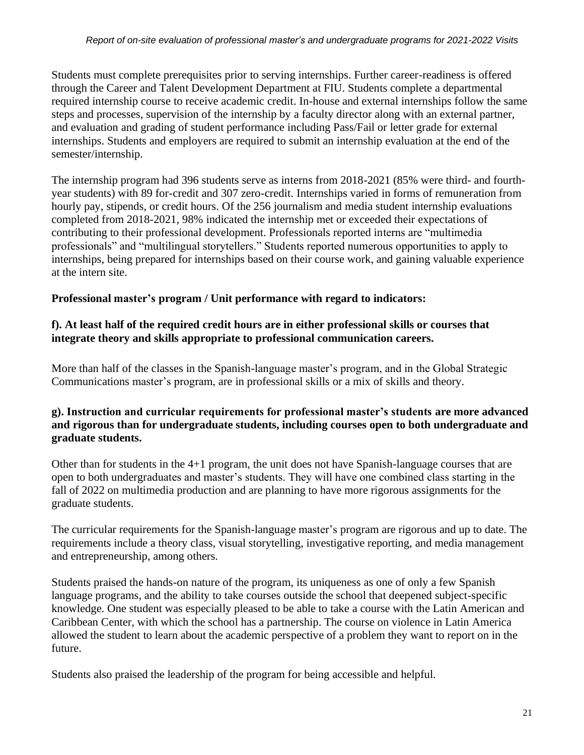Students must complete prerequisites prior to serving internships. Further career-readiness is offered through the Career and Talent Development Department at FIU. Students complete a departmental required internship course to receive academic credit. In-house and external internships follow the same steps and processes, supervision of the internship by a faculty director along with an external partner, and evaluation and grading of student performance including Pass/Fail or letter grade for external internships. Students and employers are required to submit an internship evaluation at the end of the semester/internship.

The internship program had 396 students serve as interns from 2018-2021 (85% were third- and fourthyear students) with 89 for-credit and 307 zero-credit. Internships varied in forms of remuneration from hourly pay, stipends, or credit hours. Of the 256 journalism and media student internship evaluations completed from 2018-2021, 98% indicated the internship met or exceeded their expectations of contributing to their professional development. Professionals reported interns are "multimedia professionals" and "multilingual storytellers." Students reported numerous opportunities to apply to internships, being prepared for internships based on their course work, and gaining valuable experience at the intern site.

# **Professional master's program / Unit performance with regard to indicators:**

# **f). At least half of the required credit hours are in either professional skills or courses that integrate theory and skills appropriate to professional communication careers.**

More than half of the classes in the Spanish-language master's program, and in the Global Strategic Communications master's program, are in professional skills or a mix of skills and theory.

# **g). Instruction and curricular requirements for professional master's students are more advanced and rigorous than for undergraduate students, including courses open to both undergraduate and graduate students.**

Other than for students in the 4+1 program, the unit does not have Spanish-language courses that are open to both undergraduates and master's students. They will have one combined class starting in the fall of 2022 on multimedia production and are planning to have more rigorous assignments for the graduate students.

The curricular requirements for the Spanish-language master's program are rigorous and up to date. The requirements include a theory class, visual storytelling, investigative reporting, and media management and entrepreneurship, among others.

Students praised the hands-on nature of the program, its uniqueness as one of only a few Spanish language programs, and the ability to take courses outside the school that deepened subject-specific knowledge. One student was especially pleased to be able to take a course with the Latin American and Caribbean Center, with which the school has a partnership. The course on violence in Latin America allowed the student to learn about the academic perspective of a problem they want to report on in the future.

Students also praised the leadership of the program for being accessible and helpful.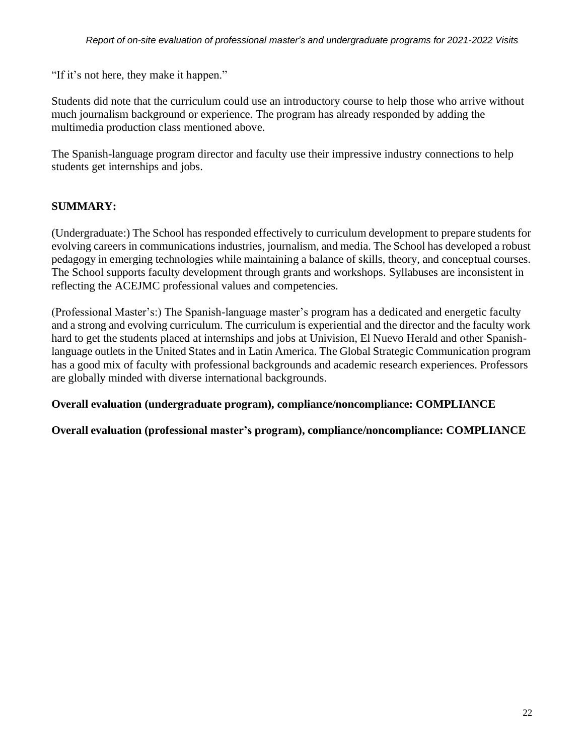"If it's not here, they make it happen."

Students did note that the curriculum could use an introductory course to help those who arrive without much journalism background or experience. The program has already responded by adding the multimedia production class mentioned above.

The Spanish-language program director and faculty use their impressive industry connections to help students get internships and jobs.

# **SUMMARY:**

(Undergraduate:) The School has responded effectively to curriculum development to prepare students for evolving careers in communications industries, journalism, and media. The School has developed a robust pedagogy in emerging technologies while maintaining a balance of skills, theory, and conceptual courses. The School supports faculty development through grants and workshops. Syllabuses are inconsistent in reflecting the ACEJMC professional values and competencies.

(Professional Master's:) The Spanish-language master's program has a dedicated and energetic faculty and a strong and evolving curriculum. The curriculum is experiential and the director and the faculty work hard to get the students placed at internships and jobs at Univision, El Nuevo Herald and other Spanishlanguage outlets in the United States and in Latin America. The Global Strategic Communication program has a good mix of faculty with professional backgrounds and academic research experiences. Professors are globally minded with diverse international backgrounds.

**Overall evaluation (undergraduate program), compliance/noncompliance: COMPLIANCE**

**Overall evaluation (professional master's program), compliance/noncompliance: COMPLIANCE**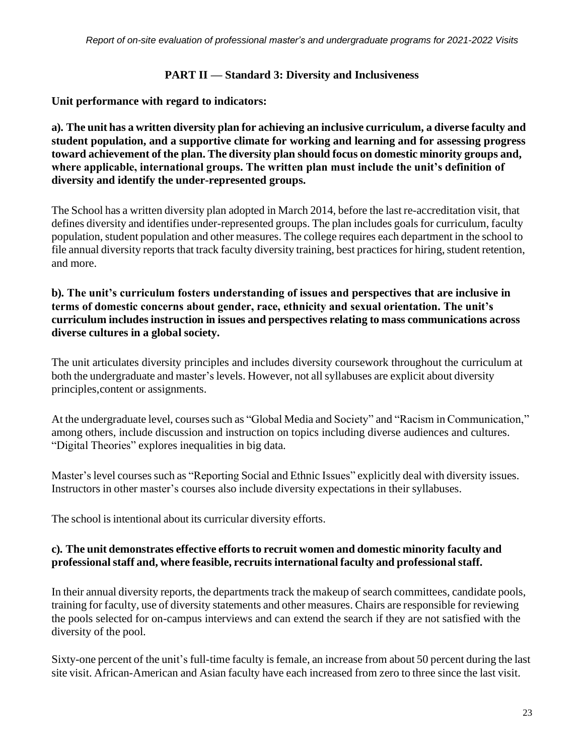### **PART II — Standard 3: Diversity and Inclusiveness**

**Unit performance with regard to indicators:**

**a). The unit has a written diversity plan for achieving an inclusive curriculum, a diverse faculty and student population, and a supportive climate for working and learning and for assessing progress toward achievement of the plan. The diversity plan should focus on domestic minority groups and, where applicable, international groups. The written plan must include the unit's definition of diversity and identify the under-represented groups.**

The School has a written diversity plan adopted in March 2014, before the last re-accreditation visit, that defines diversity and identifies under-represented groups. The plan includes goals for curriculum, faculty population, student population and other measures. The college requires each department in the school to file annual diversity reports that track faculty diversity training, best practices for hiring, student retention, and more.

# **b). The unit's curriculum fosters understanding of issues and perspectives that are inclusive in terms of domestic concerns about gender, race, ethnicity and sexual orientation. The unit's curriculum includes instruction in issues and perspectives relating to mass communications across diverse cultures in a global society.**

The unit articulates diversity principles and includes diversity coursework throughout the curriculum at both the undergraduate and master's levels. However, not all syllabuses are explicit about diversity principles,content or assignments.

At the undergraduate level, courses such as "Global Media and Society" and "Racism in Communication," among others, include discussion and instruction on topics including diverse audiences and cultures. "Digital Theories" explores inequalities in big data.

Master's level courses such as "Reporting Social and Ethnic Issues" explicitly deal with diversity issues. Instructors in other master's courses also include diversity expectations in their syllabuses.

The school is intentional about its curricular diversity efforts.

# **c). The unit demonstrates effective efforts to recruit women and domestic minority faculty and professionalstaff and, where feasible, recruits international faculty and professionalstaff.**

In their annual diversity reports, the departments track the makeup of search committees, candidate pools, training for faculty, use of diversity statements and other measures. Chairs are responsible for reviewing the pools selected for on-campus interviews and can extend the search if they are not satisfied with the diversity of the pool.

Sixty-one percent of the unit's full-time faculty is female, an increase from about 50 percent during the last site visit. African-American and Asian faculty have each increased from zero to three since the last visit.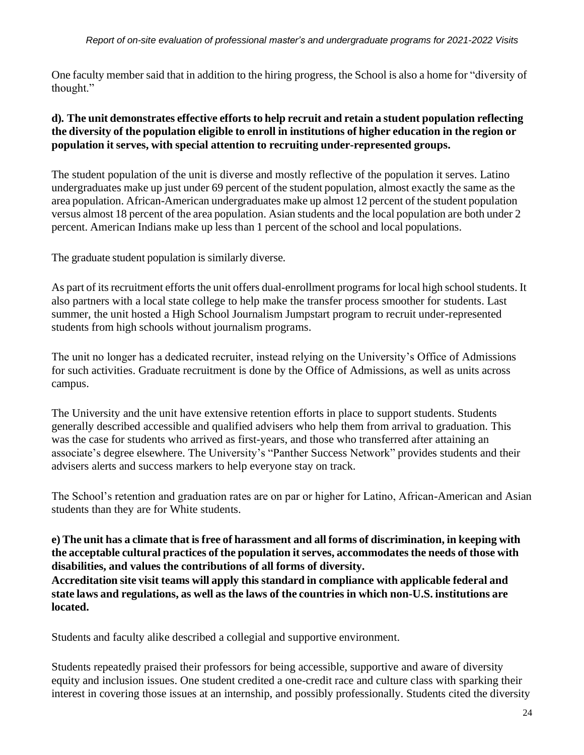#### *Report of on-site evaluation of professional master's and undergraduate programs for 2021-2022 Visits*

One faculty member said that in addition to the hiring progress, the School is also a home for "diversity of thought."

# **d). The unit demonstrates effective efforts to help recruit and retain a student population reflecting the diversity of the population eligible to enroll in institutions of higher education in the region or population it serves, with special attention to recruiting under-represented groups.**

The student population of the unit is diverse and mostly reflective of the population it serves. Latino undergraduates make up just under 69 percent of the student population, almost exactly the same as the area population. African-American undergraduates make up almost 12 percent of the student population versus almost 18 percent of the area population. Asian students and the local population are both under 2 percent. American Indians make up less than 1 percent of the school and local populations.

The graduate student population is similarly diverse.

As part of its recruitment efforts the unit offers dual-enrollment programs for local high school students. It also partners with a local state college to help make the transfer process smoother for students. Last summer, the unit hosted a High School Journalism Jumpstart program to recruit under-represented students from high schools without journalism programs.

The unit no longer has a dedicated recruiter, instead relying on the University's Office of Admissions for such activities. Graduate recruitment is done by the Office of Admissions, as well as units across campus.

The University and the unit have extensive retention efforts in place to support students. Students generally described accessible and qualified advisers who help them from arrival to graduation. This was the case for students who arrived as first-years, and those who transferred after attaining an associate's degree elsewhere. The University's "Panther Success Network" provides students and their advisers alerts and success markers to help everyone stay on track.

The School's retention and graduation rates are on par or higher for Latino, African-American and Asian students than they are for White students.

# e) The unit has a climate that is free of harassment and all forms of discrimination, in keeping with **the acceptable cultural practices of the population itserves, accommodates the needs of those with disabilities, and values the contributions of all forms of diversity.**

**Accreditation site visit teams will apply this standard in compliance with applicable federal and state laws and regulations, as well as the laws of the countries in which non-U.S. institutions are located.**

Students and faculty alike described a collegial and supportive environment.

Students repeatedly praised their professors for being accessible, supportive and aware of diversity equity and inclusion issues. One student credited a one-credit race and culture class with sparking their interest in covering those issues at an internship, and possibly professionally. Students cited the diversity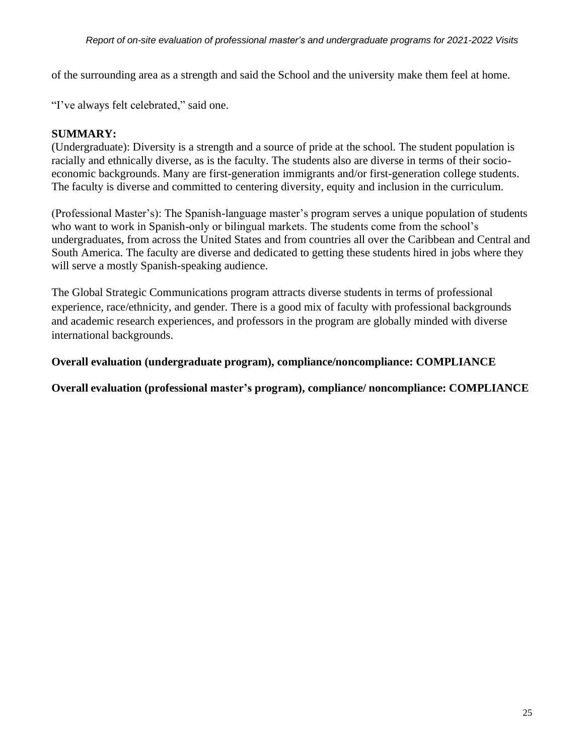of the surrounding area as a strength and said the School and the university make them feel at home.

"I've always felt celebrated," said one.

# **SUMMARY:**

(Undergraduate): Diversity is a strength and a source of pride at the school. The student population is racially and ethnically diverse, as is the faculty. The students also are diverse in terms of their socioeconomic backgrounds. Many are first-generation immigrants and/or first-generation college students. The faculty is diverse and committed to centering diversity, equity and inclusion in the curriculum.

(Professional Master's): The Spanish-language master's program serves a unique population of students who want to work in Spanish-only or bilingual markets. The students come from the school's undergraduates, from across the United States and from countries all over the Caribbean and Central and South America. The faculty are diverse and dedicated to getting these students hired in jobs where they will serve a mostly Spanish-speaking audience.

The Global Strategic Communications program attracts diverse students in terms of professional experience, race/ethnicity, and gender. There is a good mix of faculty with professional backgrounds and academic research experiences, and professors in the program are globally minded with diverse international backgrounds.

**Overall evaluation (undergraduate program), compliance/noncompliance: COMPLIANCE**

**Overall evaluation (professional master's program), compliance/ noncompliance: COMPLIANCE**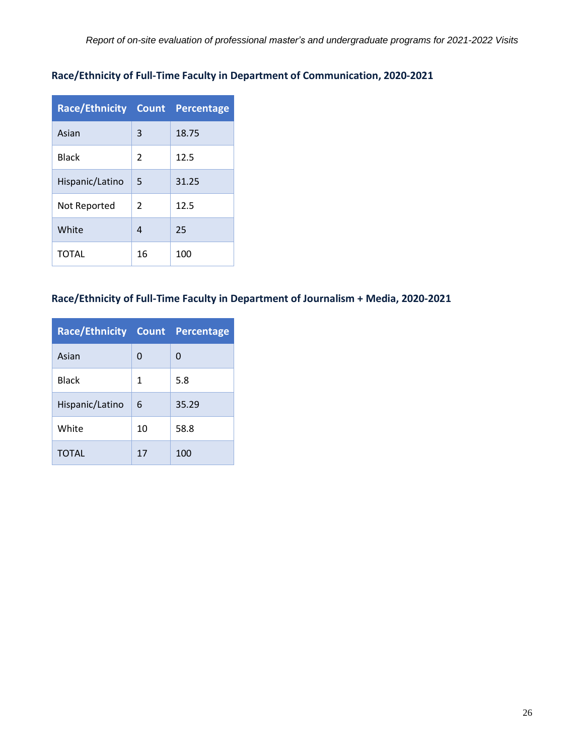# **Race/Ethnicity of Full-Time Faculty in Department of Communication, 2020-2021**

| <b>Race/Ethnicity Count Percentage</b> |                |       |
|----------------------------------------|----------------|-------|
| Asian                                  | 3              | 18.75 |
| <b>Black</b>                           | $\mathfrak{p}$ | 12.5  |
| Hispanic/Latino                        | 5              | 31.25 |
| Not Reported                           | $\mathfrak{p}$ | 12.5  |
| White                                  | 4              | 25    |
| TOTAL                                  | 16             | 100   |

# **Race/Ethnicity of Full-Time Faculty in Department of Journalism + Media, 2020-2021**

| <b>Race/Ethnicity Count Percentage</b> |    |       |
|----------------------------------------|----|-------|
| Asian                                  | 0  | 0     |
| <b>Black</b>                           | 1  | 5.8   |
| Hispanic/Latino                        | 6  | 35.29 |
| White                                  | 10 | 58.8  |
| <b>TOTAL</b>                           | 17 | 100   |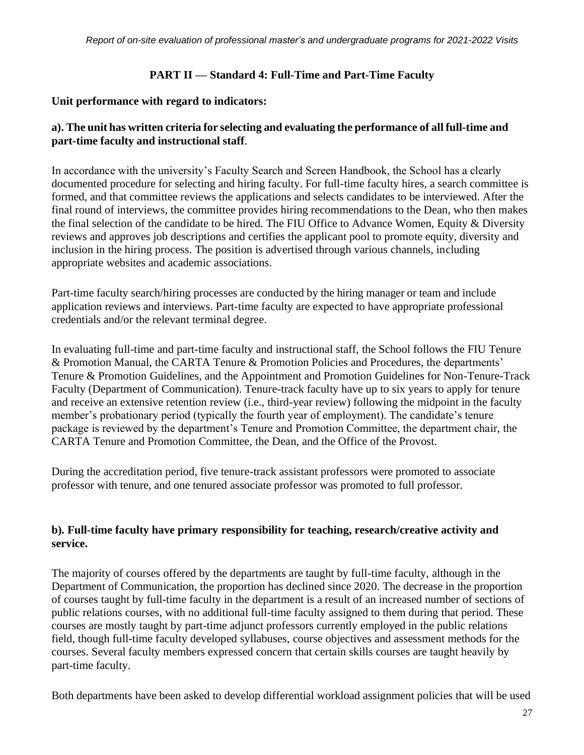# **PART II — Standard 4: Full-Time and Part-Time Faculty**

### **Unit performance with regard to indicators:**

# **a). The unit has written criteria for selecting and evaluating the performance of all full-time and part-time faculty and instructional staff**.

In accordance with the university's Faculty Search and Screen Handbook, the School has a clearly documented procedure for selecting and hiring faculty. For full-time faculty hires, a search committee is formed, and that committee reviews the applications and selects candidates to be interviewed. After the final round of interviews, the committee provides hiring recommendations to the Dean, who then makes the final selection of the candidate to be hired. The FIU Office to Advance Women, Equity & Diversity reviews and approves job descriptions and certifies the applicant pool to promote equity, diversity and inclusion in the hiring process. The position is advertised through various channels, including appropriate websites and academic associations.

Part-time faculty search/hiring processes are conducted by the hiring manager or team and include application reviews and interviews. Part-time faculty are expected to have appropriate professional credentials and/or the relevant terminal degree.

In evaluating full-time and part-time faculty and instructional staff, the School follows the FIU Tenure & Promotion Manual, the CARTA Tenure & Promotion Policies and Procedures, the departments' Tenure & Promotion Guidelines, and the Appointment and Promotion Guidelines for Non-Tenure-Track Faculty (Department of Communication). Tenure-track faculty have up to six years to apply for tenure and receive an extensive retention review (i.e., third-year review) following the midpoint in the faculty member's probationary period (typically the fourth year of employment). The candidate's tenure package is reviewed by the department's Tenure and Promotion Committee, the department chair, the CARTA Tenure and Promotion Committee, the Dean, and the Office of the Provost.

During the accreditation period, five tenure-track assistant professors were promoted to associate professor with tenure, and one tenured associate professor was promoted to full professor.

# **b). Full-time faculty have primary responsibility for teaching, research/creative activity and service.**

The majority of courses offered by the departments are taught by full-time faculty, although in the Department of Communication, the proportion has declined since 2020. The decrease in the proportion of courses taught by full-time faculty in the department is a result of an increased number of sections of public relations courses, with no additional full-time faculty assigned to them during that period. These courses are mostly taught by part-time adjunct professors currently employed in the public relations field, though full-time faculty developed syllabuses, course objectives and assessment methods for the courses. Several faculty members expressed concern that certain skills courses are taught heavily by part-time faculty.

Both departments have been asked to develop differential workload assignment policies that will be used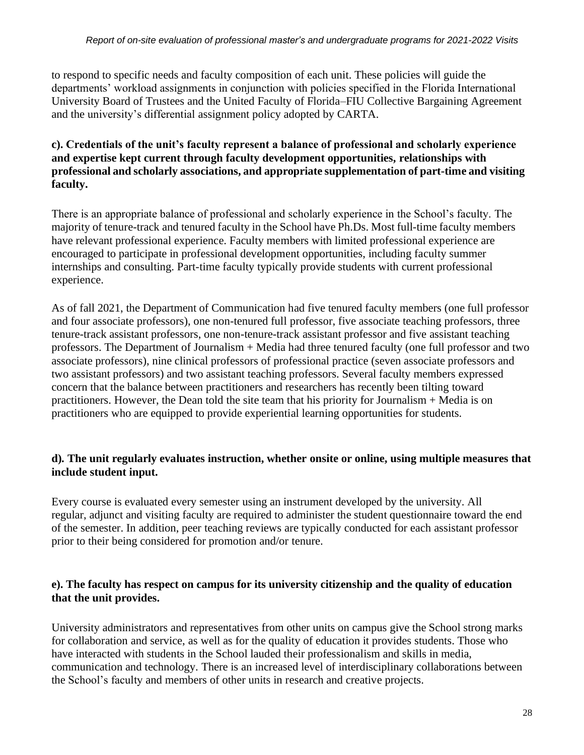to respond to specific needs and faculty composition of each unit. These policies will guide the departments' workload assignments in conjunction with policies specified in the Florida International University Board of Trustees and the United Faculty of Florida–FIU Collective Bargaining Agreement and the university's differential assignment policy adopted by CARTA.

# **c). Credentials of the unit's faculty represent a balance of professional and scholarly experience and expertise kept current through faculty development opportunities, relationships with professional and scholarly associations, and appropriate supplementation of part-time and visiting faculty.**

There is an appropriate balance of professional and scholarly experience in the School's faculty. The majority of tenure-track and tenured faculty in the School have Ph.Ds. Most full-time faculty members have relevant professional experience. Faculty members with limited professional experience are encouraged to participate in professional development opportunities, including faculty summer internships and consulting. Part-time faculty typically provide students with current professional experience.

As of fall 2021, the Department of Communication had five tenured faculty members (one full professor and four associate professors), one non-tenured full professor, five associate teaching professors, three tenure-track assistant professors, one non-tenure-track assistant professor and five assistant teaching professors. The Department of Journalism + Media had three tenured faculty (one full professor and two associate professors), nine clinical professors of professional practice (seven associate professors and two assistant professors) and two assistant teaching professors. Several faculty members expressed concern that the balance between practitioners and researchers has recently been tilting toward practitioners. However, the Dean told the site team that his priority for Journalism + Media is on practitioners who are equipped to provide experiential learning opportunities for students.

# **d). The unit regularly evaluates instruction, whether onsite or online, using multiple measures that include student input.**

Every course is evaluated every semester using an instrument developed by the university. All regular, adjunct and visiting faculty are required to administer the student questionnaire toward the end of the semester. In addition, peer teaching reviews are typically conducted for each assistant professor prior to their being considered for promotion and/or tenure.

# **e). The faculty has respect on campus for its university citizenship and the quality of education that the unit provides.**

University administrators and representatives from other units on campus give the School strong marks for collaboration and service, as well as for the quality of education it provides students. Those who have interacted with students in the School lauded their professionalism and skills in media, communication and technology. There is an increased level of interdisciplinary collaborations between the School's faculty and members of other units in research and creative projects.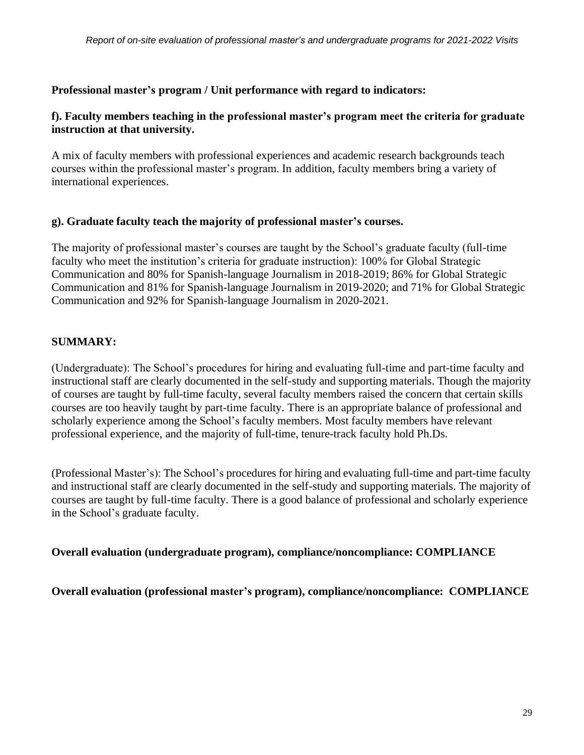## **Professional master's program / Unit performance with regard to indicators:**

### **f). Faculty members teaching in the professional master's program meet the criteria for graduate instruction at that university.**

A mix of faculty members with professional experiences and academic research backgrounds teach courses within the professional master's program. In addition, faculty members bring a variety of international experiences.

#### **g). Graduate faculty teach the majority of professional master's courses.**

The majority of professional master's courses are taught by the School's graduate faculty (full-time faculty who meet the institution's criteria for graduate instruction): 100% for Global Strategic Communication and 80% for Spanish-language Journalism in 2018-2019; 86% for Global Strategic Communication and 81% for Spanish-language Journalism in 2019-2020; and 71% for Global Strategic Communication and 92% for Spanish-language Journalism in 2020-2021.

# **SUMMARY:**

(Undergraduate): The School's procedures for hiring and evaluating full-time and part-time faculty and instructional staff are clearly documented in the self-study and supporting materials. Though the majority of courses are taught by full-time faculty, several faculty members raised the concern that certain skills courses are too heavily taught by part-time faculty. There is an appropriate balance of professional and scholarly experience among the School's faculty members. Most faculty members have relevant professional experience, and the majority of full-time, tenure-track faculty hold Ph.Ds.

(Professional Master's): The School's procedures for hiring and evaluating full-time and part-time faculty and instructional staff are clearly documented in the self-study and supporting materials. The majority of courses are taught by full-time faculty. There is a good balance of professional and scholarly experience in the School's graduate faculty.

**Overall evaluation (undergraduate program), compliance/noncompliance: COMPLIANCE**

**Overall evaluation (professional master's program), compliance/noncompliance: COMPLIANCE**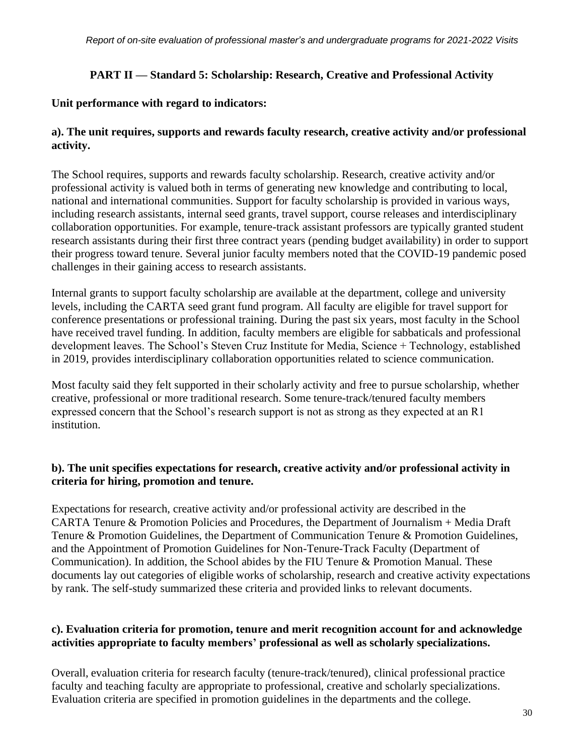# **PART II — Standard 5: Scholarship: Research, Creative and Professional Activity**

### **Unit performance with regard to indicators:**

# **a). The unit requires, supports and rewards faculty research, creative activity and/or professional activity.**

The School requires, supports and rewards faculty scholarship. Research, creative activity and/or professional activity is valued both in terms of generating new knowledge and contributing to local, national and international communities. Support for faculty scholarship is provided in various ways, including research assistants, internal seed grants, travel support, course releases and interdisciplinary collaboration opportunities. For example, tenure-track assistant professors are typically granted student research assistants during their first three contract years (pending budget availability) in order to support their progress toward tenure. Several junior faculty members noted that the COVID-19 pandemic posed challenges in their gaining access to research assistants.

Internal grants to support faculty scholarship are available at the department, college and university levels, including the CARTA seed grant fund program. All faculty are eligible for travel support for conference presentations or professional training. During the past six years, most faculty in the School have received travel funding. In addition, faculty members are eligible for sabbaticals and professional development leaves. The School's Steven Cruz Institute for Media, Science + Technology, established in 2019, provides interdisciplinary collaboration opportunities related to science communication.

Most faculty said they felt supported in their scholarly activity and free to pursue scholarship, whether creative, professional or more traditional research. Some tenure-track/tenured faculty members expressed concern that the School's research support is not as strong as they expected at an R1 institution.

# **b). The unit specifies expectations for research, creative activity and/or professional activity in criteria for hiring, promotion and tenure.**

Expectations for research, creative activity and/or professional activity are described in the CARTA Tenure & Promotion Policies and Procedures, the Department of Journalism + Media Draft Tenure & Promotion Guidelines, the Department of Communication Tenure & Promotion Guidelines, and the Appointment of Promotion Guidelines for Non-Tenure-Track Faculty (Department of Communication). In addition, the School abides by the FIU Tenure & Promotion Manual. These documents lay out categories of eligible works of scholarship, research and creative activity expectations by rank. The self-study summarized these criteria and provided links to relevant documents.

# **c). Evaluation criteria for promotion, tenure and merit recognition account for and acknowledge activities appropriate to faculty members' professional as well as scholarly specializations.**

Overall, evaluation criteria for research faculty (tenure-track/tenured), clinical professional practice faculty and teaching faculty are appropriate to professional, creative and scholarly specializations. Evaluation criteria are specified in promotion guidelines in the departments and the college.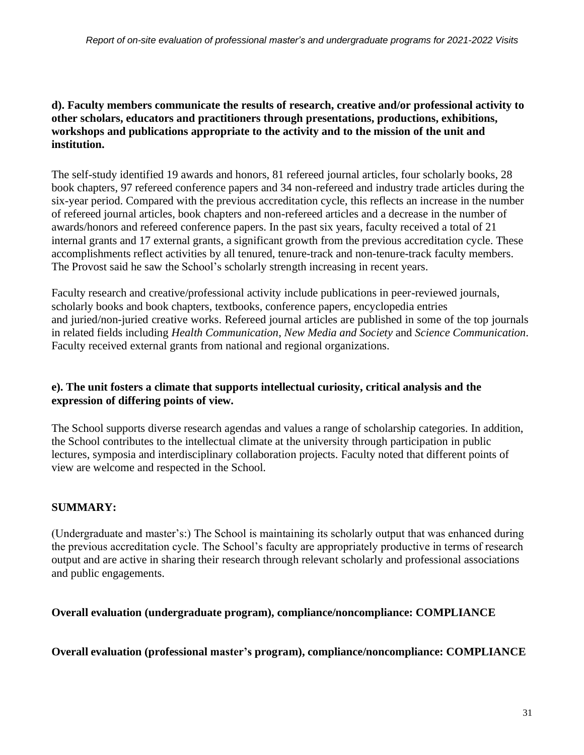# **d). Faculty members communicate the results of research, creative and/or professional activity to other scholars, educators and practitioners through presentations, productions, exhibitions, workshops and publications appropriate to the activity and to the mission of the unit and institution.**

The self-study identified 19 awards and honors, 81 refereed journal articles, four scholarly books, 28 book chapters, 97 refereed conference papers and 34 non-refereed and industry trade articles during the six-year period. Compared with the previous accreditation cycle, this reflects an increase in the number of refereed journal articles, book chapters and non-refereed articles and a decrease in the number of awards/honors and refereed conference papers. In the past six years, faculty received a total of 21 internal grants and 17 external grants, a significant growth from the previous accreditation cycle. These accomplishments reflect activities by all tenured, tenure-track and non-tenure-track faculty members. The Provost said he saw the School's scholarly strength increasing in recent years.

Faculty research and creative/professional activity include publications in peer-reviewed journals, scholarly books and book chapters, textbooks, conference papers, encyclopedia entries and juried/non-juried creative works. Refereed journal articles are published in some of the top journals in related fields including *Health Communication*, *New Media and Society* and *Science Communication*. Faculty received external grants from national and regional organizations.

# **e). The unit fosters a climate that supports intellectual curiosity, critical analysis and the expression of differing points of view.**

The School supports diverse research agendas and values a range of scholarship categories. In addition, the School contributes to the intellectual climate at the university through participation in public lectures, symposia and interdisciplinary collaboration projects. Faculty noted that different points of view are welcome and respected in the School.

# **SUMMARY:**

(Undergraduate and master's:) The School is maintaining its scholarly output that was enhanced during the previous accreditation cycle. The School's faculty are appropriately productive in terms of research output and are active in sharing their research through relevant scholarly and professional associations and public engagements.

# **Overall evaluation (undergraduate program), compliance/noncompliance: COMPLIANCE**

# **Overall evaluation (professional master's program), compliance/noncompliance: COMPLIANCE**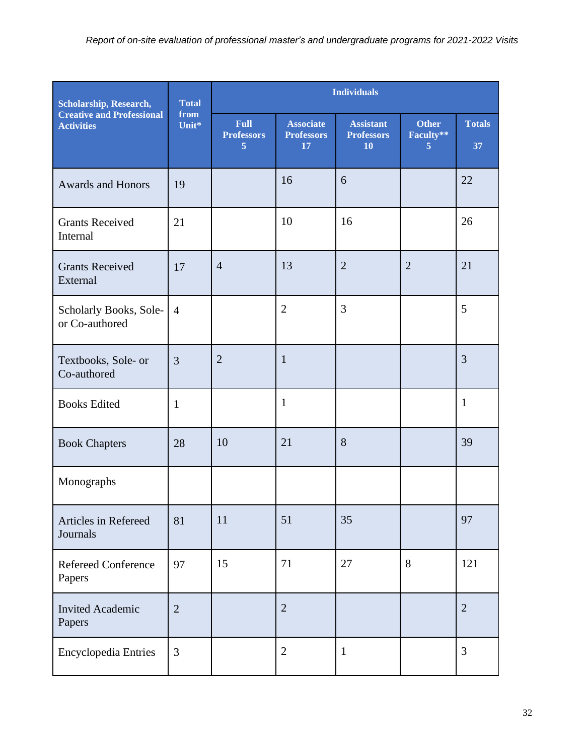| <b>Scholarship, Research,</b>                         | <b>Total</b>   |                                                    | <b>Individuals</b>                          |                                             |                                |                     |
|-------------------------------------------------------|----------------|----------------------------------------------------|---------------------------------------------|---------------------------------------------|--------------------------------|---------------------|
| <b>Creative and Professional</b><br><b>Activities</b> | from<br>Unit*  | <b>Full</b><br><b>Professors</b><br>$\overline{5}$ | <b>Associate</b><br><b>Professors</b><br>17 | <b>Assistant</b><br><b>Professors</b><br>10 | <b>Other</b><br>Faculty**<br>5 | <b>Totals</b><br>37 |
| <b>Awards and Honors</b>                              | 19             |                                                    | 16                                          | 6                                           |                                | 22                  |
| <b>Grants Received</b><br>Internal                    | 21             |                                                    | 10                                          | 16                                          |                                | 26                  |
| <b>Grants Received</b><br>External                    | 17             | $\overline{4}$                                     | 13                                          | $\overline{2}$                              | $\overline{2}$                 | 21                  |
| Scholarly Books, Sole-<br>or Co-authored              | $\overline{4}$ |                                                    | $\overline{2}$                              | 3                                           |                                | 5                   |
| Textbooks, Sole- or<br>Co-authored                    | $\overline{3}$ | $\overline{2}$                                     | $\mathbf{1}$                                |                                             |                                | $\overline{3}$      |
| <b>Books Edited</b>                                   | $\mathbf{1}$   |                                                    | $\mathbf{1}$                                |                                             |                                | $\mathbf{1}$        |
| <b>Book Chapters</b>                                  | 28             | 10                                                 | 21                                          | 8                                           |                                | 39                  |
| Monographs                                            |                |                                                    |                                             |                                             |                                |                     |
| Articles in Refereed<br>Journals                      | 81             | 11                                                 | 51                                          | 35                                          |                                | 97                  |
| <b>Refereed Conference</b><br>Papers                  | 97             | 15                                                 | 71                                          | 27                                          | 8                              | 121                 |
| <b>Invited Academic</b><br>Papers                     | $\overline{2}$ |                                                    | $\overline{2}$                              |                                             |                                | $\overline{2}$      |
| Encyclopedia Entries                                  | 3              |                                                    | $\overline{2}$                              | $\mathbf{1}$                                |                                | 3                   |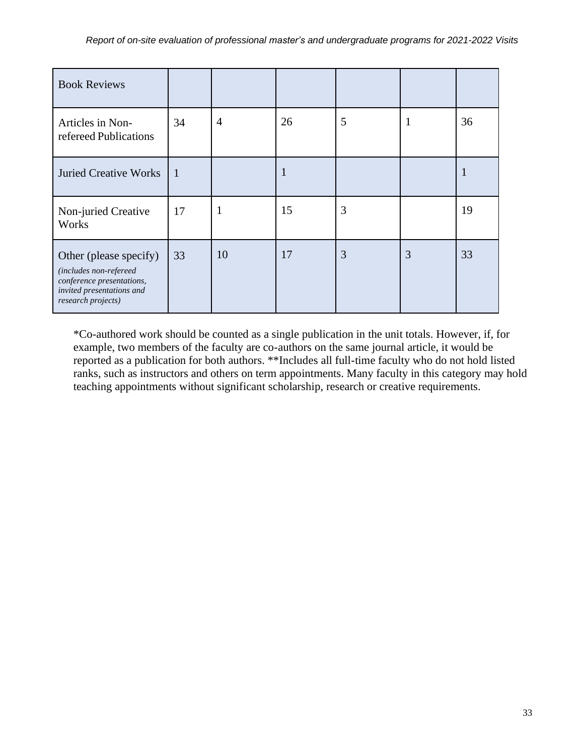| <b>Book Reviews</b>                                                                                                              |                |                |    |   |   |    |
|----------------------------------------------------------------------------------------------------------------------------------|----------------|----------------|----|---|---|----|
| Articles in Non-<br>refereed Publications                                                                                        | 34             | $\overline{4}$ | 26 | 5 | 1 | 36 |
| <b>Juried Creative Works</b>                                                                                                     | $\overline{1}$ |                | 1  |   |   | 1  |
| Non-juried Creative<br>Works                                                                                                     | 17             | $\mathbf{1}$   | 15 | 3 |   | 19 |
| Other (please specify)<br>(includes non-refereed<br>conference presentations,<br>invited presentations and<br>research projects) | 33             | 10             | 17 | 3 | 3 | 33 |

\*Co-authored work should be counted as a single publication in the unit totals. However, if, for example, two members of the faculty are co-authors on the same journal article, it would be reported as a publication for both authors. \*\*Includes all full-time faculty who do not hold listed ranks, such as instructors and others on term appointments. Many faculty in this category may hold teaching appointments without significant scholarship, research or creative requirements.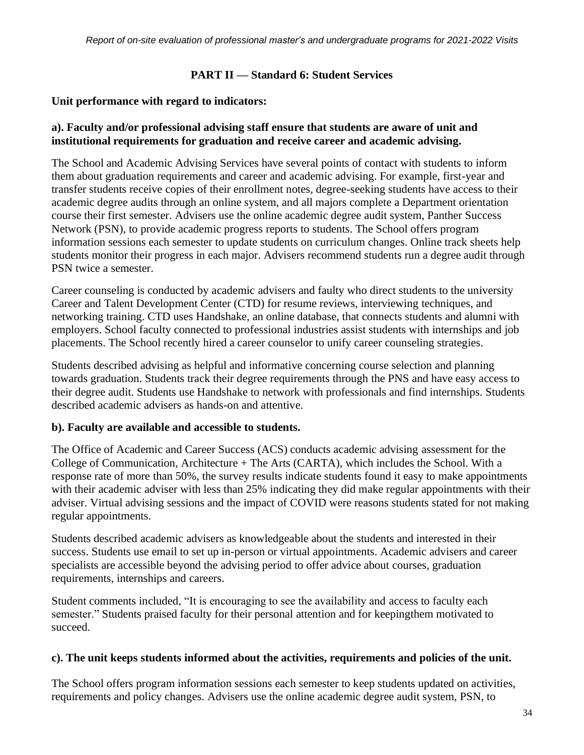## **PART II — Standard 6: Student Services**

### **Unit performance with regard to indicators:**

# **a). Faculty and/or professional advising staff ensure that students are aware of unit and institutional requirements for graduation and receive career and academic advising.**

The School and Academic Advising Services have several points of contact with students to inform them about graduation requirements and career and academic advising. For example, first-year and transfer students receive copies of their enrollment notes, degree-seeking students have access to their academic degree audits through an online system, and all majors complete a Department orientation course their first semester. Advisers use the online academic degree audit system, Panther Success Network (PSN), to provide academic progress reports to students. The School offers program information sessions each semester to update students on curriculum changes. Online track sheets help students monitor their progress in each major. Advisers recommend students run a degree audit through PSN twice a semester.

Career counseling is conducted by academic advisers and faulty who direct students to the university Career and Talent Development Center (CTD) for resume reviews, interviewing techniques, and networking training. CTD uses Handshake, an online database, that connects students and alumni with employers. School faculty connected to professional industries assist students with internships and job placements. The School recently hired a career counselor to unify career counseling strategies.

Students described advising as helpful and informative concerning course selection and planning towards graduation. Students track their degree requirements through the PNS and have easy access to their degree audit. Students use Handshake to network with professionals and find internships. Students described academic advisers as hands-on and attentive.

#### **b). Faculty are available and accessible to students.**

The Office of Academic and Career Success (ACS) conducts academic advising assessment for the College of Communication, Architecture + The Arts (CARTA), which includes the School. With a response rate of more than 50%, the survey results indicate students found it easy to make appointments with their academic adviser with less than 25% indicating they did make regular appointments with their adviser. Virtual advising sessions and the impact of COVID were reasons students stated for not making regular appointments.

Students described academic advisers as knowledgeable about the students and interested in their success. Students use email to set up in-person or virtual appointments. Academic advisers and career specialists are accessible beyond the advising period to offer advice about courses, graduation requirements, internships and careers.

Student comments included, "It is encouraging to see the availability and access to faculty each semester." Students praised faculty for their personal attention and for keepingthem motivated to succeed.

#### **c). The unit keeps students informed about the activities, requirements and policies of the unit.**

The School offers program information sessions each semester to keep students updated on activities, requirements and policy changes. Advisers use the online academic degree audit system, PSN, to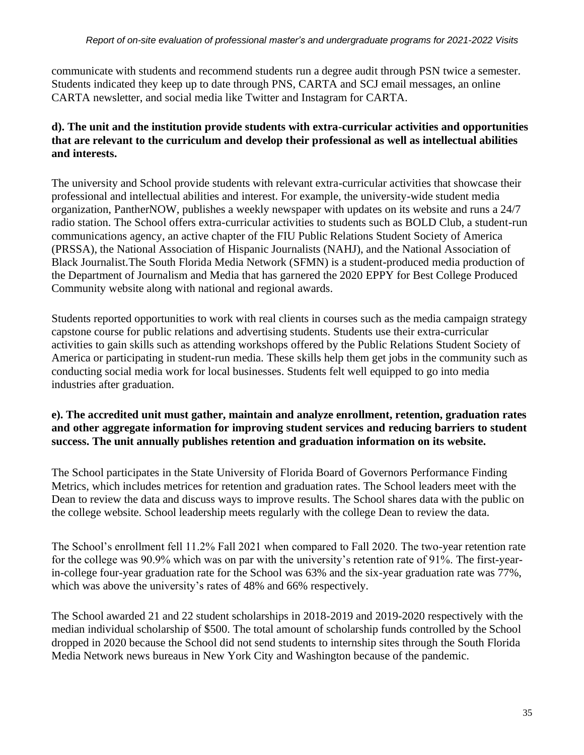communicate with students and recommend students run a degree audit through PSN twice a semester. Students indicated they keep up to date through PNS, CARTA and SCJ email messages, an online CARTA newsletter, and social media like Twitter and Instagram for CARTA.

# **d). The unit and the institution provide students with extra-curricular activities and opportunities that are relevant to the curriculum and develop their professional as well as intellectual abilities and interests.**

The university and School provide students with relevant extra-curricular activities that showcase their professional and intellectual abilities and interest. For example, the university-wide student media organization, PantherNOW, publishes a weekly newspaper with updates on its website and runs a 24/7 radio station. The School offers extra-curricular activities to students such as BOLD Club, a student-run communications agency, an active chapter of the FIU Public Relations Student Society of America (PRSSA), the National Association of Hispanic Journalists (NAHJ), and the National Association of Black Journalist.The South Florida Media Network (SFMN) is a student-produced media production of the Department of Journalism and Media that has garnered the 2020 EPPY for Best College Produced Community website along with national and regional awards.

Students reported opportunities to work with real clients in courses such as the media campaign strategy capstone course for public relations and advertising students. Students use their extra-curricular activities to gain skills such as attending workshops offered by the Public Relations Student Society of America or participating in student-run media. These skills help them get jobs in the community such as conducting social media work for local businesses. Students felt well equipped to go into media industries after graduation.

# **e). The accredited unit must gather, maintain and analyze enrollment, retention, graduation rates and other aggregate information for improving student services and reducing barriers to student success. The unit annually publishes retention and graduation information on its website.**

The School participates in the State University of Florida Board of Governors Performance Finding Metrics, which includes metrices for retention and graduation rates. The School leaders meet with the Dean to review the data and discuss ways to improve results. The School shares data with the public on the college website. School leadership meets regularly with the college Dean to review the data.

The School's enrollment fell 11.2% Fall 2021 when compared to Fall 2020. The two-year retention rate for the college was 90.9% which was on par with the university's retention rate of 91%. The first-yearin-college four-year graduation rate for the School was 63% and the six-year graduation rate was 77%, which was above the university's rates of 48% and 66% respectively.

The School awarded 21 and 22 student scholarships in 2018-2019 and 2019-2020 respectively with the median individual scholarship of \$500. The total amount of scholarship funds controlled by the School dropped in 2020 because the School did not send students to internship sites through the South Florida Media Network news bureaus in New York City and Washington because of the pandemic.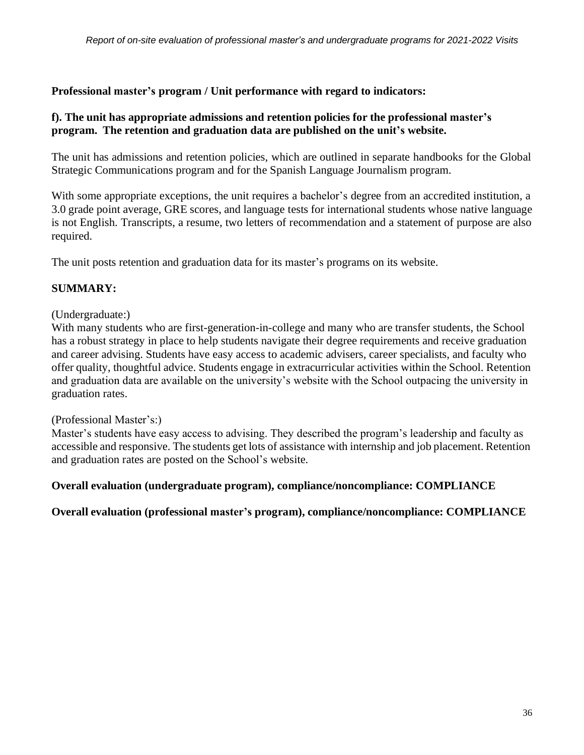**Professional master's program / Unit performance with regard to indicators:**

# **f). The unit has appropriate admissions and retention policies for the professional master's program. The retention and graduation data are published on the unit's website.**

The unit has admissions and retention policies, which are outlined in separate handbooks for the Global Strategic Communications program and for the Spanish Language Journalism program.

With some appropriate exceptions, the unit requires a bachelor's degree from an accredited institution, a 3.0 grade point average, GRE scores, and language tests for international students whose native language is not English. Transcripts, a resume, two letters of recommendation and a statement of purpose are also required.

The unit posts retention and graduation data for its master's programs on its website.

# **SUMMARY:**

## (Undergraduate:)

With many students who are first-generation-in-college and many who are transfer students, the School has a robust strategy in place to help students navigate their degree requirements and receive graduation and career advising. Students have easy access to academic advisers, career specialists, and faculty who offer quality, thoughtful advice. Students engage in extracurricular activities within the School. Retention and graduation data are available on the university's website with the School outpacing the university in graduation rates.

#### (Professional Master's:)

Master's students have easy access to advising. They described the program's leadership and faculty as accessible and responsive. The students get lots of assistance with internship and job placement. Retention and graduation rates are posted on the School's website.

# **Overall evaluation (undergraduate program), compliance/noncompliance: COMPLIANCE**

**Overall evaluation (professional master's program), compliance/noncompliance: COMPLIANCE**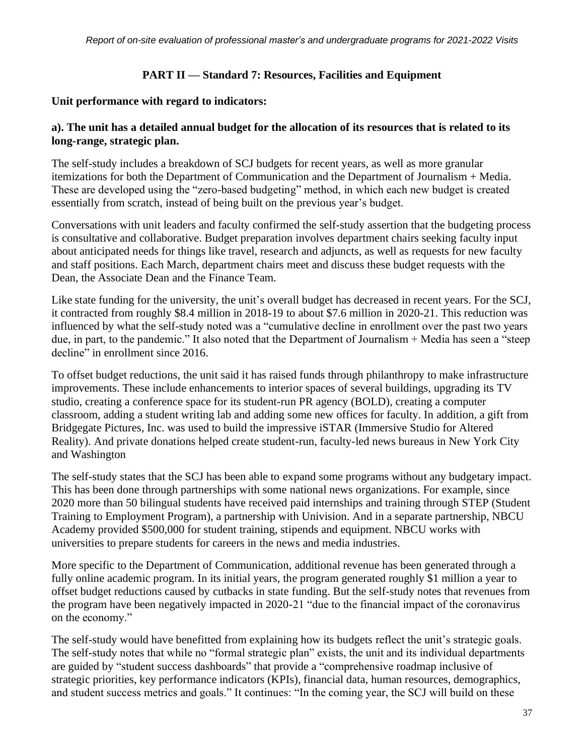## **PART II — Standard 7: Resources, Facilities and Equipment**

#### **Unit performance with regard to indicators:**

## **a). The unit has a detailed annual budget for the allocation of its resources that is related to its long-range, strategic plan.**

The self-study includes a breakdown of SCJ budgets for recent years, as well as more granular itemizations for both the Department of Communication and the Department of Journalism + Media. These are developed using the "zero-based budgeting" method, in which each new budget is created essentially from scratch, instead of being built on the previous year's budget.

Conversations with unit leaders and faculty confirmed the self-study assertion that the budgeting process is consultative and collaborative. Budget preparation involves department chairs seeking faculty input about anticipated needs for things like travel, research and adjuncts, as well as requests for new faculty and staff positions. Each March, department chairs meet and discuss these budget requests with the Dean, the Associate Dean and the Finance Team.

Like state funding for the university, the unit's overall budget has decreased in recent years. For the SCJ, it contracted from roughly \$8.4 million in 2018-19 to about \$7.6 million in 2020-21. This reduction was influenced by what the self-study noted was a "cumulative decline in enrollment over the past two years due, in part, to the pandemic." It also noted that the Department of Journalism + Media has seen a "steep decline" in enrollment since 2016.

To offset budget reductions, the unit said it has raised funds through philanthropy to make infrastructure improvements. These include enhancements to interior spaces of several buildings, upgrading its TV studio, creating a conference space for its student-run PR agency (BOLD), creating a computer classroom, adding a student writing lab and adding some new offices for faculty. In addition, a gift from Bridgegate Pictures, Inc. was used to build the impressive iSTAR (Immersive Studio for Altered Reality). And private donations helped create student-run, faculty-led news bureaus in New York City and Washington

The self-study states that the SCJ has been able to expand some programs without any budgetary impact. This has been done through partnerships with some national news organizations. For example, since 2020 more than 50 bilingual students have received paid internships and training through STEP (Student Training to Employment Program), a partnership with Univision. And in a separate partnership, NBCU Academy provided \$500,000 for student training, stipends and equipment. NBCU works with universities to prepare students for careers in the news and media industries.

More specific to the Department of Communication, additional revenue has been generated through a fully online academic program. In its initial years, the program generated roughly \$1 million a year to offset budget reductions caused by cutbacks in state funding. But the self-study notes that revenues from the program have been negatively impacted in 2020-21 "due to the financial impact of the coronavirus on the economy."

The self-study would have benefitted from explaining how its budgets reflect the unit's strategic goals. The self-study notes that while no "formal strategic plan" exists, the unit and its individual departments are guided by "student success dashboards" that provide a "comprehensive roadmap inclusive of strategic priorities, key performance indicators (KPIs), financial data, human resources, demographics, and student success metrics and goals." It continues: "In the coming year, the SCJ will build on these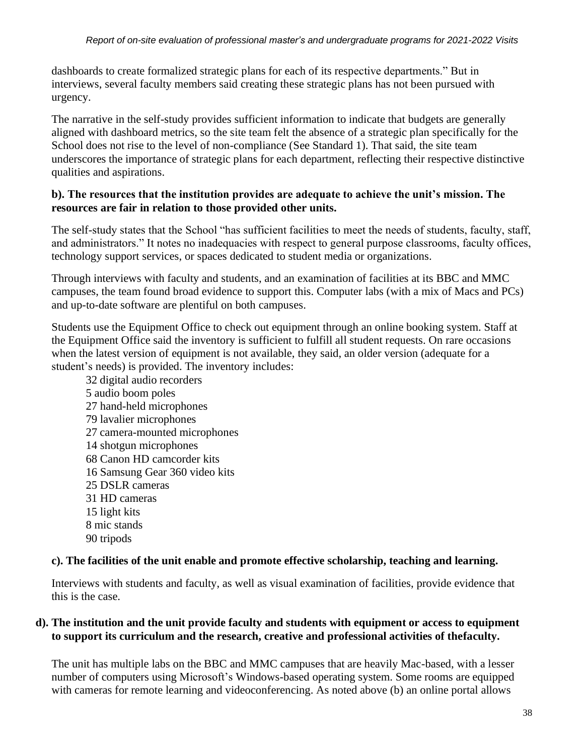dashboards to create formalized strategic plans for each of its respective departments." But in interviews, several faculty members said creating these strategic plans has not been pursued with urgency.

The narrative in the self-study provides sufficient information to indicate that budgets are generally aligned with dashboard metrics, so the site team felt the absence of a strategic plan specifically for the School does not rise to the level of non-compliance (See Standard 1). That said, the site team underscores the importance of strategic plans for each department, reflecting their respective distinctive qualities and aspirations.

# **b). The resources that the institution provides are adequate to achieve the unit's mission. The resources are fair in relation to those provided other units.**

The self-study states that the School "has sufficient facilities to meet the needs of students, faculty, staff, and administrators." It notes no inadequacies with respect to general purpose classrooms, faculty offices, technology support services, or spaces dedicated to student media or organizations.

Through interviews with faculty and students, and an examination of facilities at its BBC and MMC campuses, the team found broad evidence to support this. Computer labs (with a mix of Macs and PCs) and up-to-date software are plentiful on both campuses.

Students use the Equipment Office to check out equipment through an online booking system. Staff at the Equipment Office said the inventory is sufficient to fulfill all student requests. On rare occasions when the latest version of equipment is not available, they said, an older version (adequate for a student's needs) is provided. The inventory includes:

 digital audio recorders audio boom poles hand-held microphones lavalier microphones camera-mounted microphones shotgun microphones Canon HD camcorder kits Samsung Gear 360 video kits DSLR cameras HD cameras light kits mic stands 90 tripods

# **c). The facilities of the unit enable and promote effective scholarship, teaching and learning.**

Interviews with students and faculty, as well as visual examination of facilities, provide evidence that this is the case.

## **d). The institution and the unit provide faculty and students with equipment or access to equipment to support its curriculum and the research, creative and professional activities of thefaculty.**

The unit has multiple labs on the BBC and MMC campuses that are heavily Mac-based, with a lesser number of computers using Microsoft's Windows-based operating system. Some rooms are equipped with cameras for remote learning and videoconferencing. As noted above (b) an online portal allows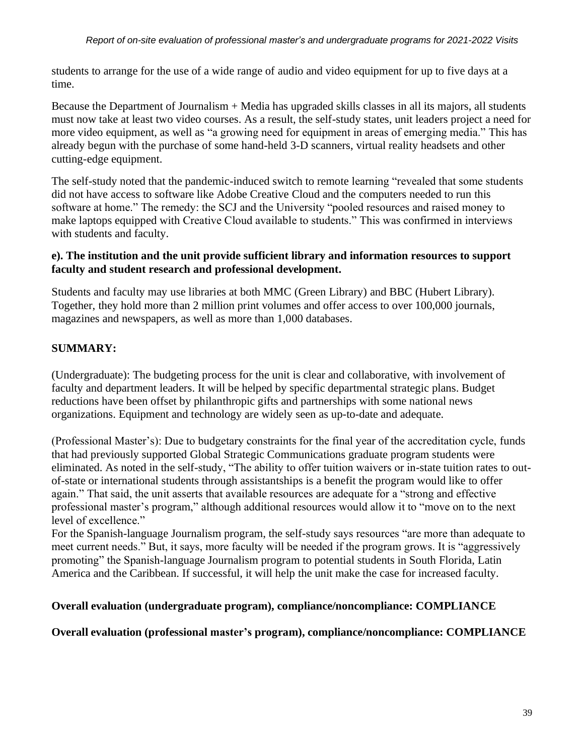students to arrange for the use of a wide range of audio and video equipment for up to five days at a time.

Because the Department of Journalism + Media has upgraded skills classes in all its majors, all students must now take at least two video courses. As a result, the self-study states, unit leaders project a need for more video equipment, as well as "a growing need for equipment in areas of emerging media." This has already begun with the purchase of some hand-held 3-D scanners, virtual reality headsets and other cutting-edge equipment.

The self-study noted that the pandemic-induced switch to remote learning "revealed that some students did not have access to software like Adobe Creative Cloud and the computers needed to run this software at home." The remedy: the SCJ and the University "pooled resources and raised money to make laptops equipped with Creative Cloud available to students." This was confirmed in interviews with students and faculty.

# **e). The institution and the unit provide sufficient library and information resources to support faculty and student research and professional development.**

Students and faculty may use libraries at both MMC (Green Library) and BBC (Hubert Library). Together, they hold more than 2 million print volumes and offer access to over 100,000 journals, magazines and newspapers, as well as more than 1,000 databases.

# **SUMMARY:**

(Undergraduate): The budgeting process for the unit is clear and collaborative, with involvement of faculty and department leaders. It will be helped by specific departmental strategic plans. Budget reductions have been offset by philanthropic gifts and partnerships with some national news organizations. Equipment and technology are widely seen as up-to-date and adequate.

(Professional Master's): Due to budgetary constraints for the final year of the accreditation cycle, funds that had previously supported Global Strategic Communications graduate program students were eliminated. As noted in the self-study, "The ability to offer tuition waivers or in-state tuition rates to outof-state or international students through assistantships is a benefit the program would like to offer again." That said, the unit asserts that available resources are adequate for a "strong and effective professional master's program," although additional resources would allow it to "move on to the next level of excellence."

For the Spanish-language Journalism program, the self-study says resources "are more than adequate to meet current needs." But, it says, more faculty will be needed if the program grows. It is "aggressively promoting" the Spanish-language Journalism program to potential students in South Florida, Latin America and the Caribbean. If successful, it will help the unit make the case for increased faculty.

# **Overall evaluation (undergraduate program), compliance/noncompliance: COMPLIANCE**

# **Overall evaluation (professional master's program), compliance/noncompliance: COMPLIANCE**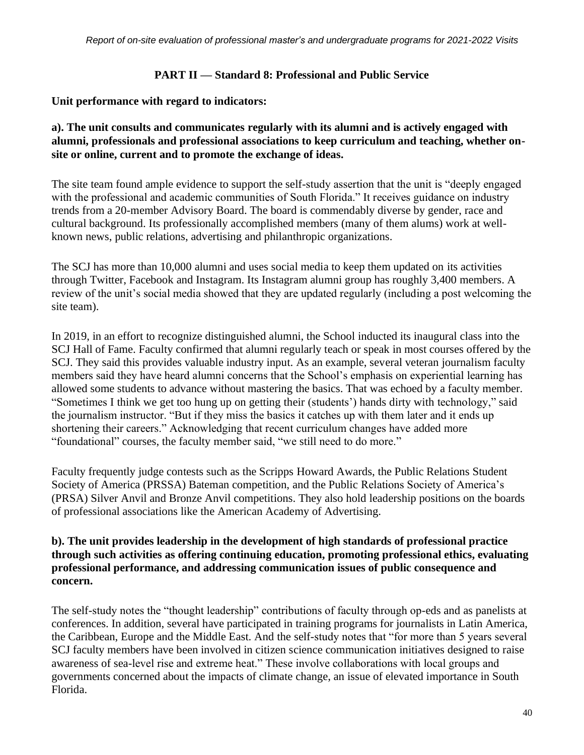### **PART II — Standard 8: Professional and Public Service**

### **Unit performance with regard to indicators:**

# **a). The unit consults and communicates regularly with its alumni and is actively engaged with alumni, professionals and professional associations to keep curriculum and teaching, whether onsite or online, current and to promote the exchange of ideas.**

The site team found ample evidence to support the self-study assertion that the unit is "deeply engaged with the professional and academic communities of South Florida." It receives guidance on industry trends from a 20-member Advisory Board. The board is commendably diverse by gender, race and cultural background. Its professionally accomplished members (many of them alums) work at wellknown news, public relations, advertising and philanthropic organizations.

The SCJ has more than 10,000 alumni and uses social media to keep them updated on its activities through Twitter, Facebook and Instagram. Its Instagram alumni group has roughly 3,400 members. A review of the unit's social media showed that they are updated regularly (including a post welcoming the site team).

In 2019, in an effort to recognize distinguished alumni, the School inducted its inaugural class into the SCJ Hall of Fame. Faculty confirmed that alumni regularly teach or speak in most courses offered by the SCJ. They said this provides valuable industry input. As an example, several veteran journalism faculty members said they have heard alumni concerns that the School's emphasis on experiential learning has allowed some students to advance without mastering the basics. That was echoed by a faculty member. "Sometimes I think we get too hung up on getting their (students') hands dirty with technology," said the journalism instructor. "But if they miss the basics it catches up with them later and it ends up shortening their careers." Acknowledging that recent curriculum changes have added more "foundational" courses, the faculty member said, "we still need to do more."

Faculty frequently judge contests such as the Scripps Howard Awards, the Public Relations Student Society of America (PRSSA) Bateman competition, and the Public Relations Society of America's (PRSA) Silver Anvil and Bronze Anvil competitions. They also hold leadership positions on the boards of professional associations like the American Academy of Advertising.

# **b). The unit provides leadership in the development of high standards of professional practice through such activities as offering continuing education, promoting professional ethics, evaluating professional performance, and addressing communication issues of public consequence and concern.**

The self-study notes the "thought leadership" contributions of faculty through op-eds and as panelists at conferences. In addition, several have participated in training programs for journalists in Latin America, the Caribbean, Europe and the Middle East. And the self-study notes that "for more than 5 years several SCJ faculty members have been involved in citizen science communication initiatives designed to raise awareness of sea-level rise and extreme heat." These involve collaborations with local groups and governments concerned about the impacts of climate change, an issue of elevated importance in South Florida.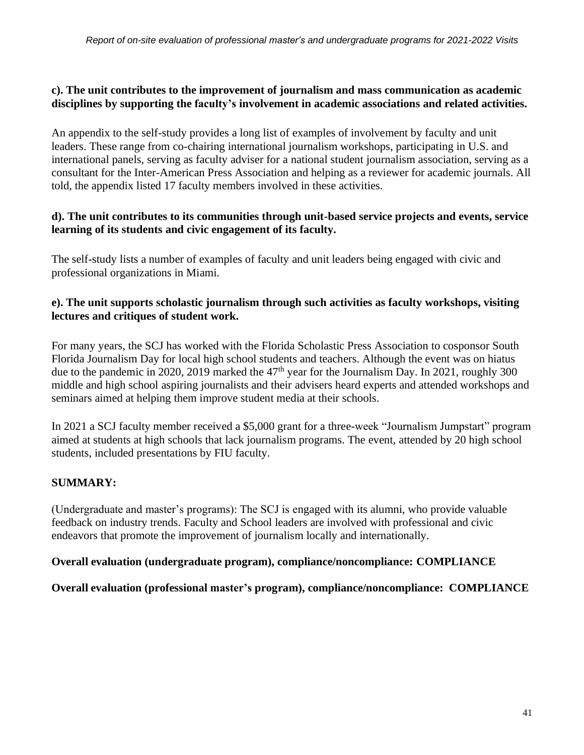# **c). The unit contributes to the improvement of journalism and mass communication as academic disciplines by supporting the faculty's involvement in academic associations and related activities.**

An appendix to the self-study provides a long list of examples of involvement by faculty and unit leaders. These range from co-chairing international journalism workshops, participating in U.S. and international panels, serving as faculty adviser for a national student journalism association, serving as a consultant for the Inter-American Press Association and helping as a reviewer for academic journals. All told, the appendix listed 17 faculty members involved in these activities.

## **d). The unit contributes to its communities through unit-based service projects and events, service learning of its students and civic engagement of its faculty.**

The self-study lists a number of examples of faculty and unit leaders being engaged with civic and professional organizations in Miami.

# **e). The unit supports scholastic journalism through such activities as faculty workshops, visiting lectures and critiques of student work.**

For many years, the SCJ has worked with the Florida Scholastic Press Association to cosponsor South Florida Journalism Day for local high school students and teachers. Although the event was on hiatus due to the pandemic in 2020, 2019 marked the  $47<sup>th</sup>$  year for the Journalism Day. In 2021, roughly 300 middle and high school aspiring journalists and their advisers heard experts and attended workshops and seminars aimed at helping them improve student media at their schools.

In 2021 a SCJ faculty member received a \$5,000 grant for a three-week "Journalism Jumpstart" program aimed at students at high schools that lack journalism programs. The event, attended by 20 high school students, included presentations by FIU faculty.

# **SUMMARY:**

(Undergraduate and master's programs): The SCJ is engaged with its alumni, who provide valuable feedback on industry trends. Faculty and School leaders are involved with professional and civic endeavors that promote the improvement of journalism locally and internationally.

# **Overall evaluation (undergraduate program), compliance/noncompliance: COMPLIANCE**

# **Overall evaluation (professional master's program), compliance/noncompliance: COMPLIANCE**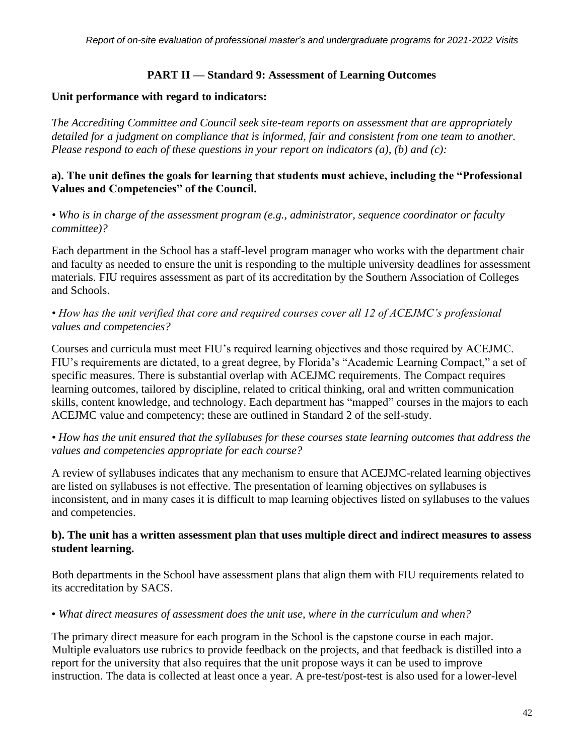# **PART II — Standard 9: Assessment of Learning Outcomes**

### **Unit performance with regard to indicators:**

*The Accrediting Committee and Council seek site-team reports on assessment that are appropriately detailed for a judgment on compliance that is informed, fair and consistent from one team to another. Please respond to each of these questions in your report on indicators (a), (b) and (c):*

## **a). The unit defines the goals for learning that students must achieve, including the "Professional Values and Competencies" of the Council.**

*• Who is in charge of the assessment program (e.g., administrator, sequence coordinator or faculty committee)?*

Each department in the School has a staff-level program manager who works with the department chair and faculty as needed to ensure the unit is responding to the multiple university deadlines for assessment materials. FIU requires assessment as part of its accreditation by the Southern Association of Colleges and Schools.

# *• How has the unit verified that core and required courses cover all 12 of ACEJMC's professional values and competencies?*

Courses and curricula must meet FIU's required learning objectives and those required by ACEJMC. FIU's requirements are dictated, to a great degree, by Florida's "Academic Learning Compact," a set of specific measures. There is substantial overlap with ACEJMC requirements. The Compact requires learning outcomes, tailored by discipline, related to critical thinking, oral and written communication skills, content knowledge, and technology. Each department has "mapped" courses in the majors to each ACEJMC value and competency; these are outlined in Standard 2 of the self-study.

• How has the unit ensured that the syllabuses for these courses state learning outcomes that address the *values and competencies appropriate for each course?*

A review of syllabuses indicates that any mechanism to ensure that ACEJMC-related learning objectives are listed on syllabuses is not effective. The presentation of learning objectives on syllabuses is inconsistent, and in many cases it is difficult to map learning objectives listed on syllabuses to the values and competencies.

# **b). The unit has a written assessment plan that uses multiple direct and indirect measures to assess student learning.**

Both departments in the School have assessment plans that align them with FIU requirements related to its accreditation by SACS.

• *What direct measures of assessment does the unit use, where in the curriculum and when?*

The primary direct measure for each program in the School is the capstone course in each major. Multiple evaluators use rubrics to provide feedback on the projects, and that feedback is distilled into a report for the university that also requires that the unit propose ways it can be used to improve instruction. The data is collected at least once a year. A pre-test/post-test is also used for a lower-level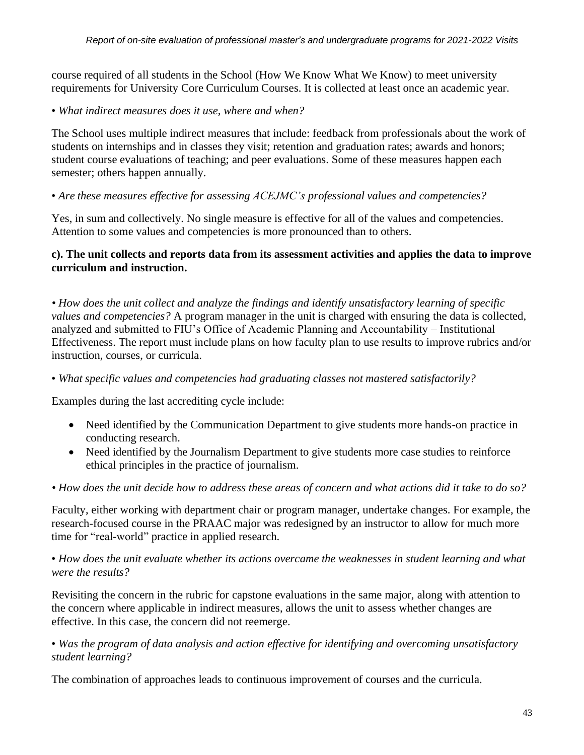course required of all students in the School (How We Know What We Know) to meet university requirements for University Core Curriculum Courses. It is collected at least once an academic year.

• *What indirect measures does it use, where and when?*

The School uses multiple indirect measures that include: feedback from professionals about the work of students on internships and in classes they visit; retention and graduation rates; awards and honors; student course evaluations of teaching; and peer evaluations. Some of these measures happen each semester; others happen annually.

• *Are these measures effective for assessing ACEJMC's professional values and competencies?*

Yes, in sum and collectively. No single measure is effective for all of the values and competencies. Attention to some values and competencies is more pronounced than to others.

# **c). The unit collects and reports data from its assessment activities and applies the data to improve curriculum and instruction.**

*• How does the unit collect and analyze the findings and identify unsatisfactory learning of specific values and competencies?* A program manager in the unit is charged with ensuring the data is collected, analyzed and submitted to FIU's Office of Academic Planning and Accountability – Institutional Effectiveness. The report must include plans on how faculty plan to use results to improve rubrics and/or instruction, courses, or curricula.

• *What specific values and competencies had graduating classes not mastered satisfactorily?*

Examples during the last accrediting cycle include:

- Need identified by the Communication Department to give students more hands-on practice in conducting research.
- Need identified by the Journalism Department to give students more case studies to reinforce ethical principles in the practice of journalism.

• How does the unit decide how to address these areas of concern and what actions did it take to do so?

Faculty, either working with department chair or program manager, undertake changes. For example, the research-focused course in the PRAAC major was redesigned by an instructor to allow for much more time for "real-world" practice in applied research.

## • *How does the unit evaluate whether its actions overcame the weaknesses in student learning and what were the results?*

Revisiting the concern in the rubric for capstone evaluations in the same major, along with attention to the concern where applicable in indirect measures, allows the unit to assess whether changes are effective. In this case, the concern did not reemerge.

## • *Was the program of data analysis and action effective for identifying and overcoming unsatisfactory student learning?*

The combination of approaches leads to continuous improvement of courses and the curricula.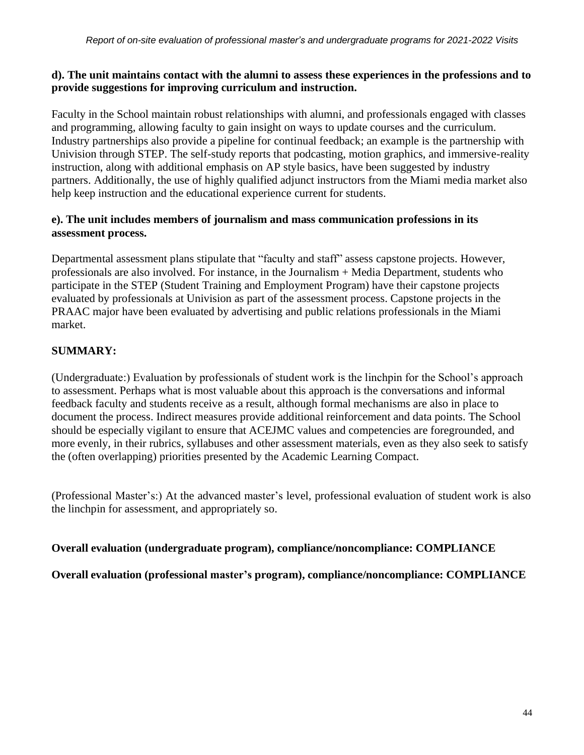# **d). The unit maintains contact with the alumni to assess these experiences in the professions and to provide suggestions for improving curriculum and instruction.**

Faculty in the School maintain robust relationships with alumni, and professionals engaged with classes and programming, allowing faculty to gain insight on ways to update courses and the curriculum. Industry partnerships also provide a pipeline for continual feedback; an example is the partnership with Univision through STEP. The self-study reports that podcasting, motion graphics, and immersive-reality instruction, along with additional emphasis on AP style basics, have been suggested by industry partners. Additionally, the use of highly qualified adjunct instructors from the Miami media market also help keep instruction and the educational experience current for students.

# **e). The unit includes members of journalism and mass communication professions in its assessment process.**

Departmental assessment plans stipulate that "faculty and staff" assess capstone projects. However, professionals are also involved. For instance, in the Journalism + Media Department, students who participate in the STEP (Student Training and Employment Program) have their capstone projects evaluated by professionals at Univision as part of the assessment process. Capstone projects in the PRAAC major have been evaluated by advertising and public relations professionals in the Miami market.

# **SUMMARY:**

(Undergraduate:) Evaluation by professionals of student work is the linchpin for the School's approach to assessment. Perhaps what is most valuable about this approach is the conversations and informal feedback faculty and students receive as a result, although formal mechanisms are also in place to document the process. Indirect measures provide additional reinforcement and data points. The School should be especially vigilant to ensure that ACEJMC values and competencies are foregrounded, and more evenly, in their rubrics, syllabuses and other assessment materials, even as they also seek to satisfy the (often overlapping) priorities presented by the Academic Learning Compact.

(Professional Master's:) At the advanced master's level, professional evaluation of student work is also the linchpin for assessment, and appropriately so.

# **Overall evaluation (undergraduate program), compliance/noncompliance: COMPLIANCE**

**Overall evaluation (professional master's program), compliance/noncompliance: COMPLIANCE**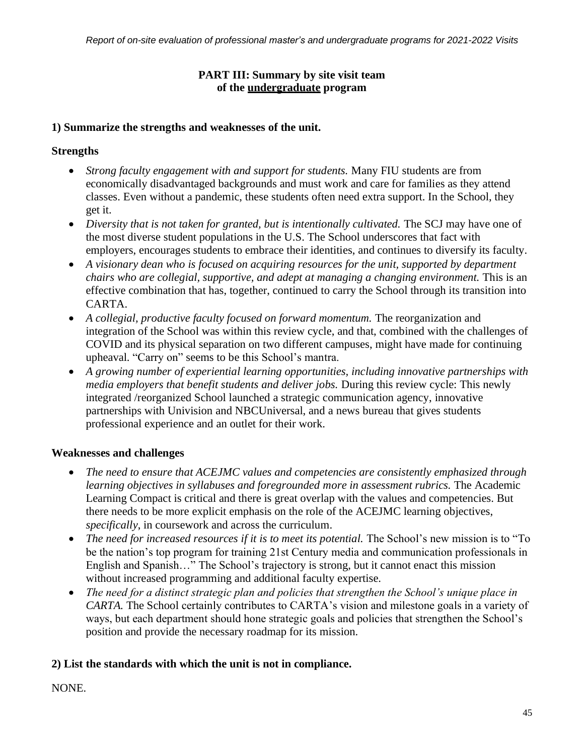# **PART III: Summary by site visit team of the undergraduate program**

# **1) Summarize the strengths and weaknesses of the unit.**

# **Strengths**

- *Strong faculty engagement with and support for students.* Many FIU students are from economically disadvantaged backgrounds and must work and care for families as they attend classes. Even without a pandemic, these students often need extra support. In the School, they get it.
- *Diversity that is not taken for granted, but is intentionally cultivated.* The SCJ may have one of the most diverse student populations in the U.S. The School underscores that fact with employers, encourages students to embrace their identities, and continues to diversify its faculty.
- *A visionary dean who is focused on acquiring resources for the unit, supported by department chairs who are collegial, supportive, and adept at managing a changing environment.* This is an effective combination that has, together, continued to carry the School through its transition into CARTA.
- *A collegial, productive faculty focused on forward momentum.* The reorganization and integration of the School was within this review cycle, and that, combined with the challenges of COVID and its physical separation on two different campuses, might have made for continuing upheaval. "Carry on" seems to be this School's mantra.
- *A growing number of experiential learning opportunities, including innovative partnerships with media employers that benefit students and deliver jobs. During this review cycle: This newly* integrated /reorganized School launched a strategic communication agency, innovative partnerships with Univision and NBCUniversal, and a news bureau that gives students professional experience and an outlet for their work.

# **Weaknesses and challenges**

- *The need to ensure that ACEJMC values and competencies are consistently emphasized through learning objectives in syllabuses and foregrounded more in assessment rubrics.* The Academic Learning Compact is critical and there is great overlap with the values and competencies. But there needs to be more explicit emphasis on the role of the ACEJMC learning objectives, *specifically*, in coursework and across the curriculum.
- *The need for increased resources if it is to meet its potential. The School's new mission is to "To* be the nation's top program for training 21st Century media and communication professionals in English and Spanish…" The School's trajectory is strong, but it cannot enact this mission without increased programming and additional faculty expertise.
- *The need for a distinct strategic plan and policies that strengthen the School's unique place in CARTA.* The School certainly contributes to CARTA's vision and milestone goals in a variety of ways, but each department should hone strategic goals and policies that strengthen the School's position and provide the necessary roadmap for its mission.

# **2) List the standards with which the unit is not in compliance.**

# NONE.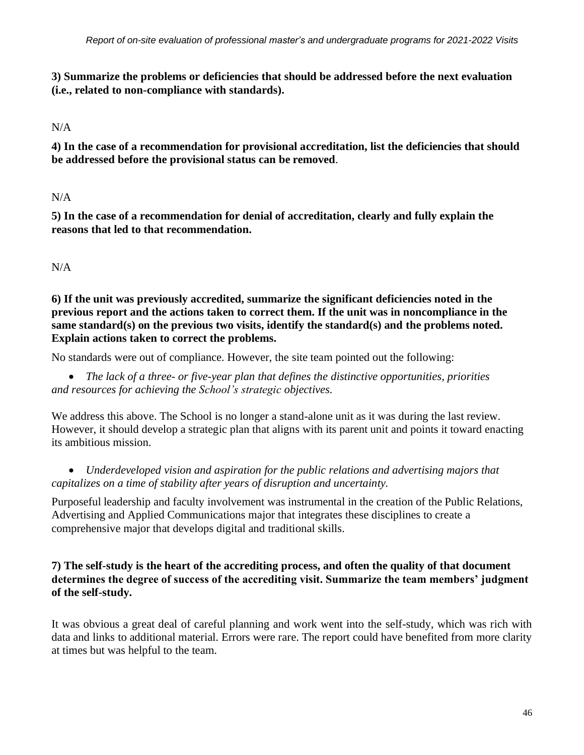**3) Summarize the problems or deficiencies that should be addressed before the next evaluation (i.e., related to non-compliance with standards).**

### N/A

**4) In the case of a recommendation for provisional accreditation, list the deficiencies that should be addressed before the provisional status can be removed**.

 $N/A$ 

**5) In the case of a recommendation for denial of accreditation, clearly and fully explain the reasons that led to that recommendation.**

N/A

**6) If the unit was previously accredited, summarize the significant deficiencies noted in the previous report and the actions taken to correct them. If the unit was in noncompliance in the same standard(s) on the previous two visits, identify the standard(s) and the problems noted. Explain actions taken to correct the problems.**

No standards were out of compliance. However, the site team pointed out the following:

• *The lack of a three- or five-year plan that defines the distinctive opportunities, priorities and resources for achieving the School's strategic objectives.*

We address this above. The School is no longer a stand-alone unit as it was during the last review. However, it should develop a strategic plan that aligns with its parent unit and points it toward enacting its ambitious mission.

• *Underdeveloped vision and aspiration for the public relations and advertising majors that capitalizes on a time of stability after years of disruption and uncertainty.*

Purposeful leadership and faculty involvement was instrumental in the creation of the Public Relations, Advertising and Applied Communications major that integrates these disciplines to create a comprehensive major that develops digital and traditional skills.

# **7) The self-study is the heart of the accrediting process, and often the quality of that document determines the degree of success of the accrediting visit. Summarize the team members' judgment of the self-study.**

It was obvious a great deal of careful planning and work went into the self-study, which was rich with data and links to additional material. Errors were rare. The report could have benefited from more clarity at times but was helpful to the team.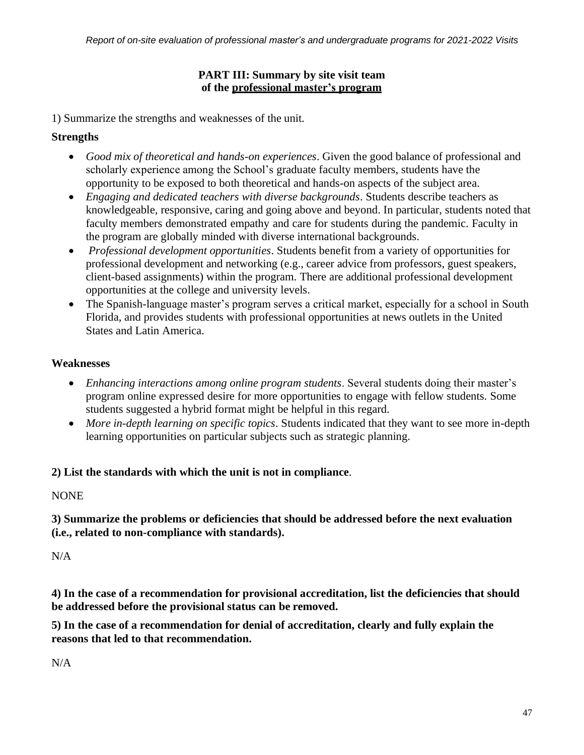# **PART III: Summary by site visit team of the professional master's program**

1) Summarize the strengths and weaknesses of the unit.

# **Strengths**

- *Good mix of theoretical and hands-on experiences*. Given the good balance of professional and scholarly experience among the School's graduate faculty members, students have the opportunity to be exposed to both theoretical and hands-on aspects of the subject area.
- *Engaging and dedicated teachers with diverse backgrounds*. Students describe teachers as knowledgeable, responsive, caring and going above and beyond. In particular, students noted that faculty members demonstrated empathy and care for students during the pandemic. Faculty in the program are globally minded with diverse international backgrounds.
- *Professional development opportunities*. Students benefit from a variety of opportunities for professional development and networking (e.g., career advice from professors, guest speakers, client-based assignments) within the program. There are additional professional development opportunities at the college and university levels.
- The Spanish-language master's program serves a critical market, especially for a school in South Florida, and provides students with professional opportunities at news outlets in the United States and Latin America.

# **Weaknesses**

- *Enhancing interactions among online program students*. Several students doing their master's program online expressed desire for more opportunities to engage with fellow students. Some students suggested a hybrid format might be helpful in this regard.
- *More in-depth learning on specific topics*. Students indicated that they want to see more in-depth learning opportunities on particular subjects such as strategic planning.

# **2) List the standards with which the unit is not in compliance**.

# NONE

**3) Summarize the problems or deficiencies that should be addressed before the next evaluation (i.e., related to non-compliance with standards).**

 $N/A$ 

**4) In the case of a recommendation for provisional accreditation, list the deficiencies that should be addressed before the provisional status can be removed.**

**5) In the case of a recommendation for denial of accreditation, clearly and fully explain the reasons that led to that recommendation.**

 $N/A$